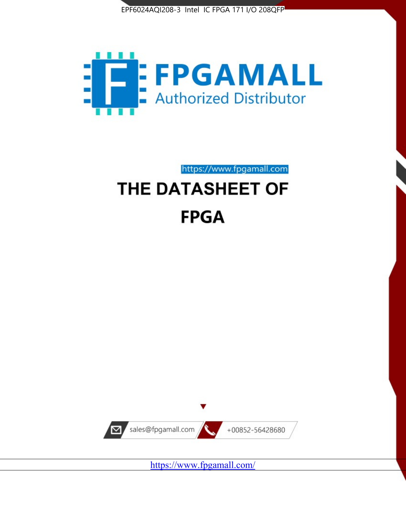



# https://www.fpgamall.com THE DATASHEET OF

# **FPGA**



<https://www.fpgamall.com/>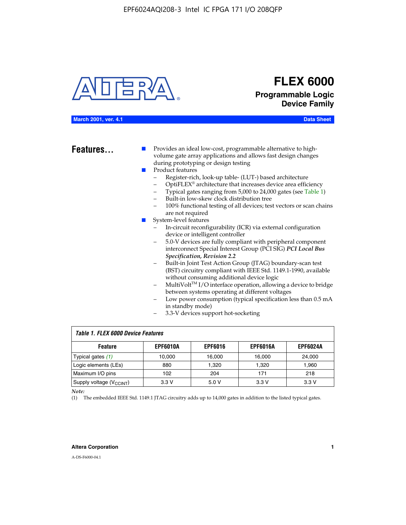

# **FLEX 6000 Programmable Logic Device Family**

#### **March 2001, ver. 4.1 Data Sheet**

**Features...** ■ Provides an ideal low-cost, programmable alternative to highvolume gate array applications and allows fast design changes during prototyping or design testing

- Product features
	- Register-rich, look-up table- (LUT-) based architecture
		- OptiFLEX® architecture that increases device area efficiency
	- Typical gates ranging from 5,000 to 24,000 gates (see Table 1)
	- Built-in low-skew clock distribution tree
	- 100% functional testing of all devices; test vectors or scan chains are not required
- System-level features
	- In-circuit reconfigurability (ICR) via external configuration device or intelligent controller
	- 5.0-V devices are fully compliant with peripheral component interconnect Special Interest Group (PCI SIG) *PCI Local Bus Specification, Revision 2.2*
	- Built-in Joint Test Action Group (JTAG) boundary-scan test (BST) circuitry compliant with IEEE Std. 1149.1-1990, available without consuming additional device logic
	- MultiVolt™ I/O interface operation, allowing a device to bridge between systems operating at different voltages
	- Low power consumption (typical specification less than 0.5 mA in standby mode)
	- 3.3-V devices support hot-socketing

| <b>Table 1. FLEX 6000 Device Features</b> |                 |                |                 |                 |  |  |  |
|-------------------------------------------|-----------------|----------------|-----------------|-----------------|--|--|--|
| <b>Feature</b>                            | <b>EPF6010A</b> | <b>EPF6016</b> | <b>EPF6016A</b> | <b>EPF6024A</b> |  |  |  |
| Typical gates (1)                         | 10,000          | 16,000         | 16,000          | 24,000          |  |  |  |
| Logic elements (LEs)                      | 880             | 1,320          | 1,320           | 1,960           |  |  |  |
| Maximum I/O pins                          | 102             | 204            | 171             | 218             |  |  |  |
| Supply voltage $(V_{C C INT})$            | 3.3V            | 5.0V           | 3.3 V           | 3.3 V           |  |  |  |

*Note:*

(1) The embedded IEEE Std. 1149.1 JTAG circuitry adds up to 14,000 gates in addition to the listed typical gates.

#### **Altera Corporation 1**

A-DS-F6000-04.1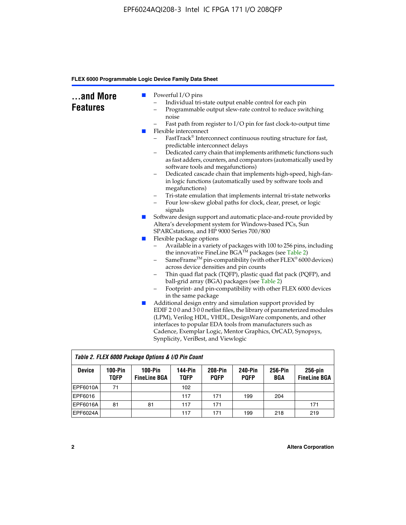| and More<br><b>Features</b> | <b>Contract</b><br><b>The Second Service</b> | Powerful I/O pins<br>Individual tri-state output enable control for each pin<br>Programmable output slew-rate control to reduce switching<br>noise<br>Fast path from register to I/O pin for fast clock-to-output time<br>Flexible interconnect<br>FastTrack® Interconnect continuous routing structure for fast,<br>predictable interconnect delays<br>Dedicated carry chain that implements arithmetic functions such<br>as fast adders, counters, and comparators (automatically used by<br>software tools and megafunctions)<br>Dedicated cascade chain that implements high-speed, high-fan-<br>$\qquad \qquad -$ |
|-----------------------------|----------------------------------------------|------------------------------------------------------------------------------------------------------------------------------------------------------------------------------------------------------------------------------------------------------------------------------------------------------------------------------------------------------------------------------------------------------------------------------------------------------------------------------------------------------------------------------------------------------------------------------------------------------------------------|
|                             |                                              | in logic functions (automatically used by software tools and<br>megafunctions)<br>Tri-state emulation that implements internal tri-state networks<br>$\qquad \qquad -$                                                                                                                                                                                                                                                                                                                                                                                                                                                 |
|                             |                                              | Four low-skew global paths for clock, clear, preset, or logic<br>-<br>signals<br>Software design support and automatic place-and-route provided by                                                                                                                                                                                                                                                                                                                                                                                                                                                                     |
|                             | $\mathbb{R}^n$                               | Altera's development system for Windows-based PCs, Sun<br>SPARCstations, and HP 9000 Series 700/800                                                                                                                                                                                                                                                                                                                                                                                                                                                                                                                    |
|                             | H                                            | Flexible package options<br>Available in a variety of packages with 100 to 256 pins, including<br>-<br>the innovative FineLine BGA™ packages (see Table 2)<br>SameFrame <sup>TM</sup> pin-compatibility (with other $FLEX^{\otimes}$ 6000 devices)<br>$\qquad \qquad -$<br>across device densities and pin counts<br>Thin quad flat pack (TQFP), plastic quad flat pack (PQFP), and<br>-<br>ball-grid array (BGA) packages (see Table 2)<br>Footprint- and pin-compatibility with other FLEX 6000 devices<br>in the same package                                                                                       |
|                             | $\mathbb{Z}^2$                               | Additional design entry and simulation support provided by<br>EDIF 200 and 300 netlist files, the library of parameterized modules<br>(LPM), Verilog HDL, VHDL, DesignWare components, and other<br>interfaces to popular EDA tools from manufacturers such as<br>Cadence, Exemplar Logic, Mentor Graphics, OrCAD, Synopsys,<br>Synplicity, VeriBest, and Viewlogic                                                                                                                                                                                                                                                    |

|                 | Table 2. FLEX 6000 Package Options & I/O Pin Count |                                  |                               |                        |                               |                |                                   |
|-----------------|----------------------------------------------------|----------------------------------|-------------------------------|------------------------|-------------------------------|----------------|-----------------------------------|
| <b>Device</b>   | $100-Pin$<br><b>TQFP</b>                           | $100-Pin$<br><b>FineLine BGA</b> | <b>144-Pin</b><br><b>TOFP</b> | 208-Pin<br><b>POFP</b> | <b>240-Pin</b><br><b>PQFP</b> | 256-Pin<br>BGA | $256$ -pin<br><b>FineLine BGA</b> |
| <b>EPF6010A</b> | 71                                                 |                                  | 102                           |                        |                               |                |                                   |
| EPF6016         |                                                    |                                  | 117                           | 171                    | 199                           | 204            |                                   |
| <b>EPF6016A</b> | 81                                                 | 81                               | 117                           | 171                    |                               |                | 171                               |
| EPF6024A        |                                                    |                                  | 117                           | 171                    | 199                           | 218            | 219                               |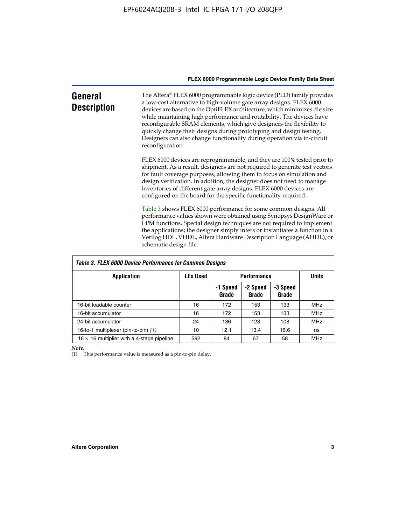| General<br><b>Description</b> | The Altera® FLEX 6000 programmable logic device (PLD) family provides<br>a low-cost alternative to high-volume gate array designs. FLEX 6000<br>devices are based on the OptiFLEX architecture, which minimizes die size<br>while maintaining high performance and routability. The devices have<br>reconfigurable SRAM elements, which give designers the flexibility to<br>quickly change their designs during prototyping and design testing.<br>Designers can also change functionality during operation via in-circuit<br>reconfiguration. |
|-------------------------------|-------------------------------------------------------------------------------------------------------------------------------------------------------------------------------------------------------------------------------------------------------------------------------------------------------------------------------------------------------------------------------------------------------------------------------------------------------------------------------------------------------------------------------------------------|
|                               | FLEX 6000 devices are reprogrammable, and they are 100% tested prior to<br>shipment. As a result, designers are not required to generate test vectors<br>for fault coverage purposes, allowing them to focus on simulation and<br>design verification. In addition, the designer does not need to manage<br>inventories of different gate array designs. FLEX 6000 devices are<br>configured on the board for the specific functionality required.                                                                                              |
|                               | Table 3 shows FLEX 6000 performance for some common designs. All<br>performance values shown were obtained using Synopsys DesignWare or<br>LPM functions. Special design techniques are not required to implement<br>the applications; the designer simply infers or instantiates a function in a<br>Verilog HDL, VHDL, Altera Hardware Description Language (AHDL), or<br>schematic design file.                                                                                                                                               |

| <b>Table 3. FLEX 6000 Device Performance for Common Designs</b> |                 |                    |                   |                   |            |  |
|-----------------------------------------------------------------|-----------------|--------------------|-------------------|-------------------|------------|--|
| Application                                                     | <b>LEs Used</b> | <b>Performance</b> | <b>Units</b>      |                   |            |  |
|                                                                 |                 | -1 Speed<br>Grade  | -2 Speed<br>Grade | -3 Speed<br>Grade |            |  |
| 16-bit loadable counter                                         | 16              | 172                | 153               | 133               | <b>MHz</b> |  |
| 16-bit accumulator                                              | 16              | 172                | 153               | 133               | <b>MHz</b> |  |
| 24-bit accumulator                                              | 24              | 136                | 123               | 108               | <b>MHz</b> |  |
| 16-to-1 multiplexer (pin-to-pin) (1)                            | 10              | 12.1               | 13.4              | 16.6              | ns         |  |
| $16 \times 16$ multiplier with a 4-stage pipeline               | 592             | 84                 | 67                | 58                | MHz        |  |

*Note:*

(1) This performance value is measured as a pin-to-pin delay.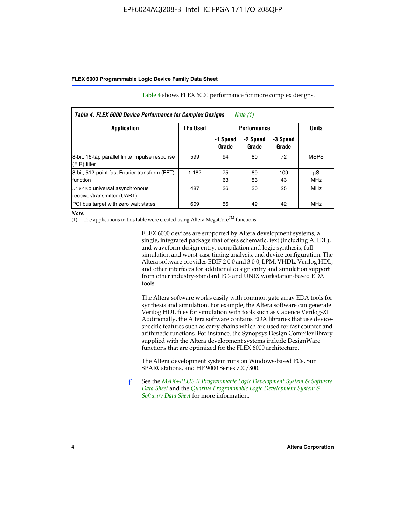| Table 4. FLEX 6000 Device Performance for Complex Designs<br>Note $(1)$ |       |                   |                   |                   |                  |  |
|-------------------------------------------------------------------------|-------|-------------------|-------------------|-------------------|------------------|--|
| <b>LEs Used</b><br><b>Performance</b><br>Application                    |       |                   |                   | <b>Units</b>      |                  |  |
|                                                                         |       | -1 Speed<br>Grade | -2 Speed<br>Grade | -3 Speed<br>Grade |                  |  |
| 8-bit, 16-tap parallel finite impulse response<br>(FIR) filter          | 599   | 94                | 80                | 72                | <b>MSPS</b>      |  |
| 8-bit, 512-point fast Fourier transform (FFT)<br>function               | 1.182 | 75<br>63          | 89<br>53          | 109<br>43         | μS<br><b>MHz</b> |  |
| a16450 universal asynchronous<br>receiver/transmitter (UART)            | 487   | 36                | 30                | 25                | <b>MHz</b>       |  |
| PCI bus target with zero wait states                                    | 609   | 56                | 49                | 42                | MHz              |  |

Table 4 shows FLEX 6000 performance for more complex designs.

*Note:*

(1) The applications in this table were created using Altera MegaCore<sup>TM</sup> functions.

FLEX 6000 devices are supported by Altera development systems; a single, integrated package that offers schematic, text (including AHDL), and waveform design entry, compilation and logic synthesis, full simulation and worst-case timing analysis, and device configuration. The Altera software provides EDIF 2 0 0 and 3 0 0, LPM, VHDL, Verilog HDL, and other interfaces for additional design entry and simulation support from other industry-standard PC- and UNIX workstation-based EDA tools.

The Altera software works easily with common gate array EDA tools for synthesis and simulation. For example, the Altera software can generate Verilog HDL files for simulation with tools such as Cadence Verilog-XL. Additionally, the Altera software contains EDA libraries that use devicespecific features such as carry chains which are used for fast counter and arithmetic functions. For instance, the Synopsys Design Compiler library supplied with the Altera development systems include DesignWare functions that are optimized for the FLEX 6000 architecture.

The Altera development system runs on Windows-based PCs, Sun SPARCstations, and HP 9000 Series 700/800.

f See the *[MAX+PLUS II Programmable Logic Development System & Software](http://www.altera.com/literature/ds/dsmii.pdf)  [Data Sheet](http://www.altera.com/literature/ds/dsmii.pdf)* and the *[Quartus Programmable Logic Development System &](http://www.altera.com/literature/ds/quartus.pdf)  [Software Data Sheet](http://www.altera.com/literature/ds/quartus.pdf)* for more information.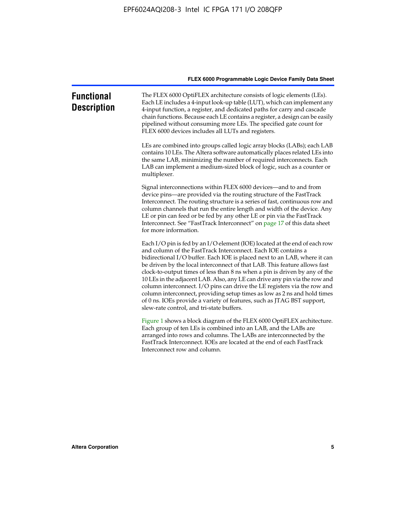| <b>Functional</b><br><b>Description</b> | The FLEX 6000 OptiFLEX architecture consists of logic elements (LEs).<br>Each LE includes a 4-input look-up table (LUT), which can implement any<br>4-input function, a register, and dedicated paths for carry and cascade<br>chain functions. Because each LE contains a register, a design can be easily<br>pipelined without consuming more LEs. The specified gate count for<br>FLEX 6000 devices includes all LUTs and registers.                                                                                                                                                                                                                                                                                                          |
|-----------------------------------------|--------------------------------------------------------------------------------------------------------------------------------------------------------------------------------------------------------------------------------------------------------------------------------------------------------------------------------------------------------------------------------------------------------------------------------------------------------------------------------------------------------------------------------------------------------------------------------------------------------------------------------------------------------------------------------------------------------------------------------------------------|
|                                         | LEs are combined into groups called logic array blocks (LABs); each LAB<br>contains 10 LEs. The Altera software automatically places related LEs into<br>the same LAB, minimizing the number of required interconnects. Each<br>LAB can implement a medium-sized block of logic, such as a counter or<br>multiplexer.                                                                                                                                                                                                                                                                                                                                                                                                                            |
|                                         | Signal interconnections within FLEX 6000 devices—and to and from<br>device pins—are provided via the routing structure of the FastTrack<br>Interconnect. The routing structure is a series of fast, continuous row and<br>column channels that run the entire length and width of the device. Any<br>LE or pin can feed or be fed by any other LE or pin via the FastTrack<br>Interconnect. See "FastTrack Interconnect" on page 17 of this data sheet<br>for more information.                                                                                                                                                                                                                                                                  |
|                                         | Each I/O pin is fed by an I/O element (IOE) located at the end of each row<br>and column of the FastTrack Interconnect. Each IOE contains a<br>bidirectional I/O buffer. Each IOE is placed next to an LAB, where it can<br>be driven by the local interconnect of that LAB. This feature allows fast<br>clock-to-output times of less than 8 ns when a pin is driven by any of the<br>10 LEs in the adjacent LAB. Also, any LE can drive any pin via the row and<br>column interconnect. I/O pins can drive the LE registers via the row and<br>column interconnect, providing setup times as low as 2 ns and hold times<br>of 0 ns. IOEs provide a variety of features, such as JTAG BST support,<br>slew-rate control, and tri-state buffers. |
|                                         | Figure 1 shows a block diagram of the FLEX 6000 OptiFLEX architecture.<br>Each group of ten LEs is combined into an LAB, and the LABs are<br>arranged into rows and columns. The LABs are interconnected by the<br>FastTrack Interconnect. IOEs are located at the end of each FastTrack<br>Interconnect row and column.                                                                                                                                                                                                                                                                                                                                                                                                                         |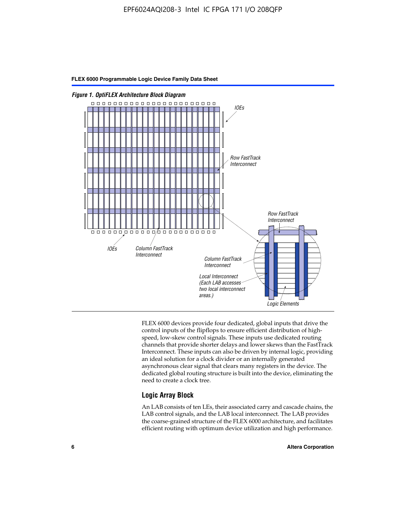

FLEX 6000 devices provide four dedicated, global inputs that drive the control inputs of the flipflops to ensure efficient distribution of highspeed, low-skew control signals. These inputs use dedicated routing channels that provide shorter delays and lower skews than the FastTrack Interconnect. These inputs can also be driven by internal logic, providing an ideal solution for a clock divider or an internally generated asynchronous clear signal that clears many registers in the device. The dedicated global routing structure is built into the device, eliminating the need to create a clock tree.

#### **Logic Array Block**

An LAB consists of ten LEs, their associated carry and cascade chains, the LAB control signals, and the LAB local interconnect. The LAB provides the coarse-grained structure of the FLEX 6000 architecture, and facilitates efficient routing with optimum device utilization and high performance.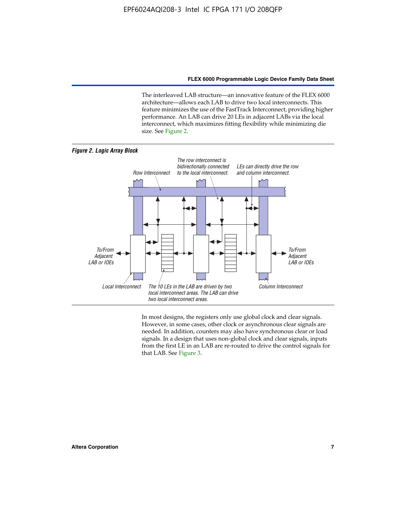The interleaved LAB structure—an innovative feature of the FLEX 6000 architecture—allows each LAB to drive two local interconnects. This feature minimizes the use of the FastTrack Interconnect, providing higher performance. An LAB can drive 20 LEs in adjacent LABs via the local interconnect, which maximizes fitting flexibility while minimizing die size. See Figure 2.



In most designs, the registers only use global clock and clear signals. However, in some cases, other clock or asynchronous clear signals are needed. In addition, counters may also have synchronous clear or load signals. In a design that uses non-global clock and clear signals, inputs from the first LE in an LAB are re-routed to drive the control signals for that LAB. See Figure 3.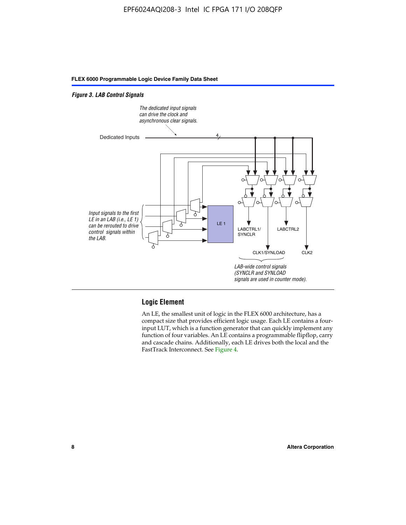#### *Figure 3. LAB Control Signals*



#### **Logic Element**

An LE, the smallest unit of logic in the FLEX 6000 architecture, has a compact size that provides efficient logic usage. Each LE contains a fourinput LUT, which is a function generator that can quickly implement any function of four variables. An LE contains a programmable flipflop, carry and cascade chains. Additionally, each LE drives both the local and the FastTrack Interconnect. See Figure 4.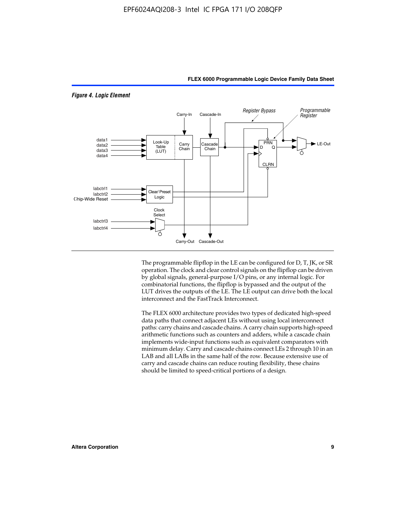

The programmable flipflop in the LE can be configured for D, T, JK, or SR operation. The clock and clear control signals on the flipflop can be driven by global signals, general-purpose I/O pins, or any internal logic. For combinatorial functions, the flipflop is bypassed and the output of the LUT drives the outputs of the LE. The LE output can drive both the local interconnect and the FastTrack Interconnect.

The FLEX 6000 architecture provides two types of dedicated high-speed data paths that connect adjacent LEs without using local interconnect paths: carry chains and cascade chains. A carry chain supports high-speed arithmetic functions such as counters and adders, while a cascade chain implements wide-input functions such as equivalent comparators with minimum delay. Carry and cascade chains connect LEs 2 through 10 in an LAB and all LABs in the same half of the row. Because extensive use of carry and cascade chains can reduce routing flexibility, these chains should be limited to speed-critical portions of a design.

#### *Figure 4. Logic Element*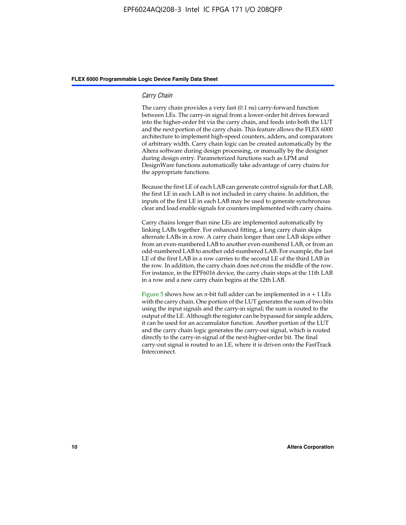#### *Carry Chain*

The carry chain provides a very fast (0.1 ns) carry-forward function between LEs. The carry-in signal from a lower-order bit drives forward into the higher-order bit via the carry chain, and feeds into both the LUT and the next portion of the carry chain. This feature allows the FLEX 6000 architecture to implement high-speed counters, adders, and comparators of arbitrary width. Carry chain logic can be created automatically by the Altera software during design processing, or manually by the designer during design entry. Parameterized functions such as LPM and DesignWare functions automatically take advantage of carry chains for the appropriate functions.

Because the first LE of each LAB can generate control signals for that LAB, the first LE in each LAB is not included in carry chains. In addition, the inputs of the first LE in each LAB may be used to generate synchronous clear and load enable signals for counters implemented with carry chains.

Carry chains longer than nine LEs are implemented automatically by linking LABs together. For enhanced fitting, a long carry chain skips alternate LABs in a row. A carry chain longer than one LAB skips either from an even-numbered LAB to another even-numbered LAB, or from an odd-numbered LAB to another odd-numbered LAB. For example, the last LE of the first LAB in a row carries to the second LE of the third LAB in the row. In addition, the carry chain does not cross the middle of the row. For instance, in the EPF6016 device, the carry chain stops at the 11th LAB in a row and a new carry chain begins at the 12th LAB.

Figure 5 shows how an *n*-bit full adder can be implemented in  $n + 1$  LEs with the carry chain. One portion of the LUT generates the sum of two bits using the input signals and the carry-in signal; the sum is routed to the output of the LE. Although the register can be bypassed for simple adders, it can be used for an accumulator function. Another portion of the LUT and the carry chain logic generates the carry-out signal, which is routed directly to the carry-in signal of the next-higher-order bit. The final carry-out signal is routed to an LE, where it is driven onto the FastTrack Interconnect.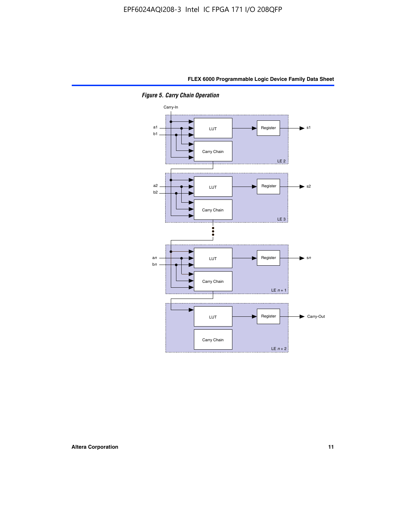

*Figure 5. Carry Chain Operation*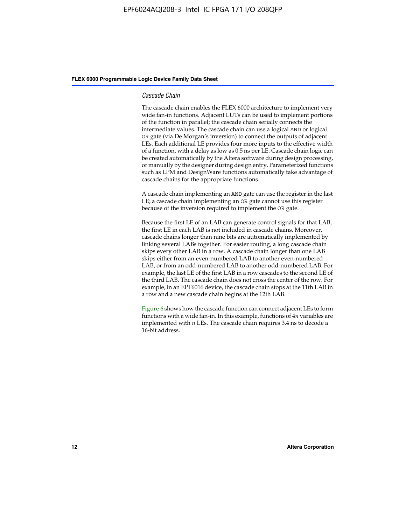#### *Cascade Chain*

The cascade chain enables the FLEX 6000 architecture to implement very wide fan-in functions. Adjacent LUTs can be used to implement portions of the function in parallel; the cascade chain serially connects the intermediate values. The cascade chain can use a logical AND or logical OR gate (via De Morgan's inversion) to connect the outputs of adjacent LEs. Each additional LE provides four more inputs to the effective width of a function, with a delay as low as 0.5 ns per LE. Cascade chain logic can be created automatically by the Altera software during design processing, or manually by the designer during design entry. Parameterized functions such as LPM and DesignWare functions automatically take advantage of cascade chains for the appropriate functions.

A cascade chain implementing an AND gate can use the register in the last LE; a cascade chain implementing an OR gate cannot use this register because of the inversion required to implement the OR gate.

Because the first LE of an LAB can generate control signals for that LAB, the first LE in each LAB is not included in cascade chains. Moreover, cascade chains longer than nine bits are automatically implemented by linking several LABs together. For easier routing, a long cascade chain skips every other LAB in a row. A cascade chain longer than one LAB skips either from an even-numbered LAB to another even-numbered LAB, or from an odd-numbered LAB to another odd-numbered LAB. For example, the last LE of the first LAB in a row cascades to the second LE of the third LAB. The cascade chain does not cross the center of the row. For example, in an EPF6016 device, the cascade chain stops at the 11th LAB in a row and a new cascade chain begins at the 12th LAB.

Figure 6 shows how the cascade function can connect adjacent LEs to form functions with a wide fan-in. In this example, functions of 4*n* variables are implemented with *n* LEs. The cascade chain requires 3.4 ns to decode a 16-bit address.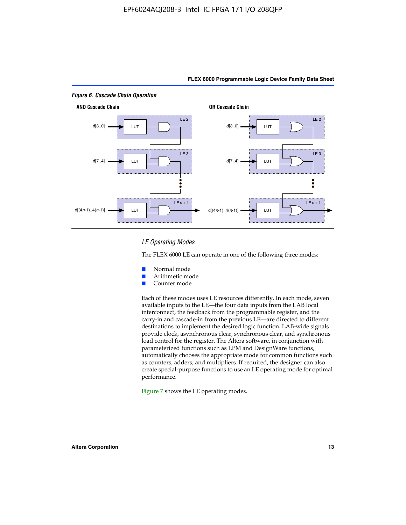

#### *LE Operating Modes*

The FLEX 6000 LE can operate in one of the following three modes:

- Normal mode
- Arithmetic mode
- Counter mode

Each of these modes uses LE resources differently. In each mode, seven available inputs to the LE—the four data inputs from the LAB local interconnect, the feedback from the programmable register, and the carry-in and cascade-in from the previous LE—are directed to different destinations to implement the desired logic function. LAB-wide signals provide clock, asynchronous clear, synchronous clear, and synchronous load control for the register. The Altera software, in conjunction with parameterized functions such as LPM and DesignWare functions, automatically chooses the appropriate mode for common functions such as counters, adders, and multipliers. If required, the designer can also create special-purpose functions to use an LE operating mode for optimal performance.

Figure 7 shows the LE operating modes.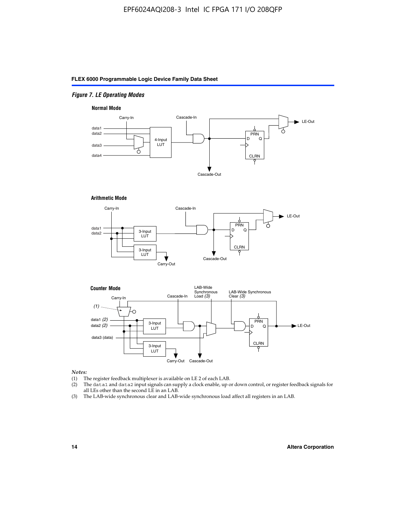#### *Figure 7. LE Operating Modes*

#### **Normal Mode**



#### **Arithmetic Mode**





#### *Notes:*

- (1) The register feedback multiplexer is available on LE 2 of each LAB.
- (2) The data1 and data2 input signals can supply a clock enable, up or down control, or register feedback signals for all LEs other than the second LE in an LAB.
- (3) The LAB-wide synchronous clear and LAB-wide synchronous load affect all registers in an LAB.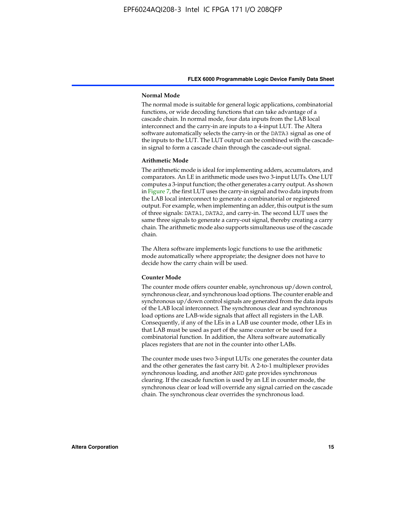#### **Normal Mode**

The normal mode is suitable for general logic applications, combinatorial functions, or wide decoding functions that can take advantage of a cascade chain. In normal mode, four data inputs from the LAB local interconnect and the carry-in are inputs to a 4-input LUT. The Altera software automatically selects the carry-in or the DATA3 signal as one of the inputs to the LUT. The LUT output can be combined with the cascadein signal to form a cascade chain through the cascade-out signal.

#### **Arithmetic Mode**

The arithmetic mode is ideal for implementing adders, accumulators, and comparators. An LE in arithmetic mode uses two 3-input LUTs. One LUT computes a 3-input function; the other generates a carry output. As shown in Figure 7, the first LUT uses the carry-in signal and two data inputs from the LAB local interconnect to generate a combinatorial or registered output. For example, when implementing an adder, this output is the sum of three signals: DATA1, DATA2, and carry-in. The second LUT uses the same three signals to generate a carry-out signal, thereby creating a carry chain. The arithmetic mode also supports simultaneous use of the cascade chain.

The Altera software implements logic functions to use the arithmetic mode automatically where appropriate; the designer does not have to decide how the carry chain will be used.

#### **Counter Mode**

The counter mode offers counter enable, synchronous up/down control, synchronous clear, and synchronous load options. The counter enable and synchronous up/down control signals are generated from the data inputs of the LAB local interconnect. The synchronous clear and synchronous load options are LAB-wide signals that affect all registers in the LAB. Consequently, if any of the LEs in a LAB use counter mode, other LEs in that LAB must be used as part of the same counter or be used for a combinatorial function. In addition, the Altera software automatically places registers that are not in the counter into other LABs.

The counter mode uses two 3-input LUTs: one generates the counter data and the other generates the fast carry bit. A 2-to-1 multiplexer provides synchronous loading, and another AND gate provides synchronous clearing. If the cascade function is used by an LE in counter mode, the synchronous clear or load will override any signal carried on the cascade chain. The synchronous clear overrides the synchronous load.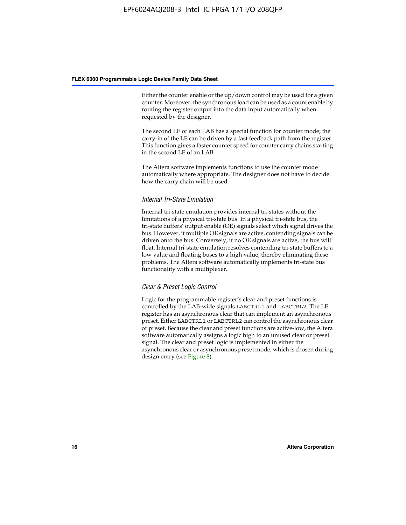Either the counter enable or the up/down control may be used for a given counter. Moreover, the synchronous load can be used as a count enable by routing the register output into the data input automatically when requested by the designer.

The second LE of each LAB has a special function for counter mode; the carry-in of the LE can be driven by a fast feedback path from the register. This function gives a faster counter speed for counter carry chains starting in the second LE of an LAB.

The Altera software implements functions to use the counter mode automatically where appropriate. The designer does not have to decide how the carry chain will be used.

#### *Internal Tri-State Emulation*

Internal tri-state emulation provides internal tri-states without the limitations of a physical tri-state bus. In a physical tri-state bus, the tri-state buffers' output enable (OE) signals select which signal drives the bus. However, if multiple OE signals are active, contending signals can be driven onto the bus. Conversely, if no OE signals are active, the bus will float. Internal tri-state emulation resolves contending tri-state buffers to a low value and floating buses to a high value, thereby eliminating these problems. The Altera software automatically implements tri-state bus functionality with a multiplexer.

#### *Clear & Preset Logic Control*

Logic for the programmable register's clear and preset functions is controlled by the LAB-wide signals LABCTRL1 and LABCTRL2. The LE register has an asynchronous clear that can implement an asynchronous preset. Either LABCTRL1 or LABCTRL2 can control the asynchronous clear or preset. Because the clear and preset functions are active-low, the Altera software automatically assigns a logic high to an unused clear or preset signal. The clear and preset logic is implemented in either the asynchronous clear or asynchronous preset mode, which is chosen during design entry (see Figure 8).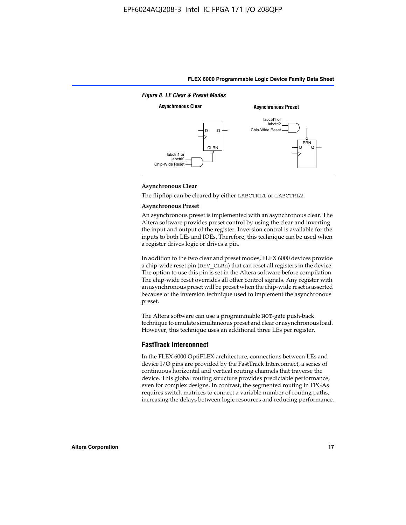

#### **Asynchronous Clear**

The flipflop can be cleared by either LABCTRL1 or LABCTRL2.

#### **Asynchronous Preset**

An asynchronous preset is implemented with an asynchronous clear. The Altera software provides preset control by using the clear and inverting the input and output of the register. Inversion control is available for the inputs to both LEs and IOEs. Therefore, this technique can be used when a register drives logic or drives a pin.

In addition to the two clear and preset modes, FLEX 6000 devices provide a chip-wide reset pin (DEV\_CLRn) that can reset all registers in the device. The option to use this pin is set in the Altera software before compilation. The chip-wide reset overrides all other control signals. Any register with an asynchronous preset will be preset when the chip-wide reset is asserted because of the inversion technique used to implement the asynchronous preset.

The Altera software can use a programmable NOT-gate push-back technique to emulate simultaneous preset and clear or asynchronous load. However, this technique uses an additional three LEs per register.

#### **FastTrack Interconnect**

In the FLEX 6000 OptiFLEX architecture, connections between LEs and device I/O pins are provided by the FastTrack Interconnect, a series of continuous horizontal and vertical routing channels that traverse the device. This global routing structure provides predictable performance, even for complex designs. In contrast, the segmented routing in FPGAs requires switch matrices to connect a variable number of routing paths, increasing the delays between logic resources and reducing performance.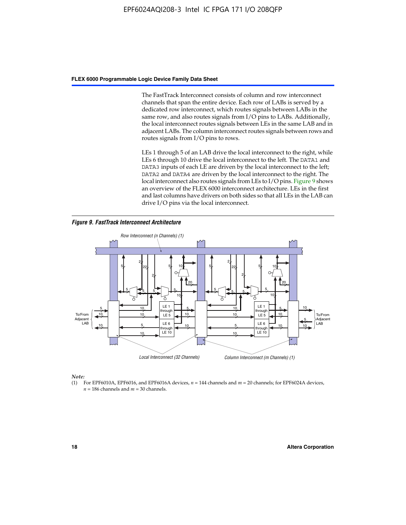The FastTrack Interconnect consists of column and row interconnect channels that span the entire device. Each row of LABs is served by a dedicated row interconnect, which routes signals between LABs in the same row, and also routes signals from I/O pins to LABs. Additionally, the local interconnect routes signals between LEs in the same LAB and in adjacent LABs. The column interconnect routes signals between rows and routes signals from I/O pins to rows.

LEs 1 through 5 of an LAB drive the local interconnect to the right, while LEs 6 through 10 drive the local interconnect to the left. The DATA1 and DATA3 inputs of each LE are driven by the local interconnect to the left; DATA2 and DATA4 are driven by the local interconnect to the right. The local interconnect also routes signals from LEs to I/O pins. Figure 9 shows an overview of the FLEX 6000 interconnect architecture. LEs in the first and last columns have drivers on both sides so that all LEs in the LAB can drive I/O pins via the local interconnect.

*Figure 9. FastTrack Interconnect Architecture*



*Note:*

(1) For EPF6010A, EPF6016, and EPF6016A devices, *n* = 144 channels and *m* = 20 channels; for EPF6024A devices,  $n = 186$  channels and  $m = 30$  channels.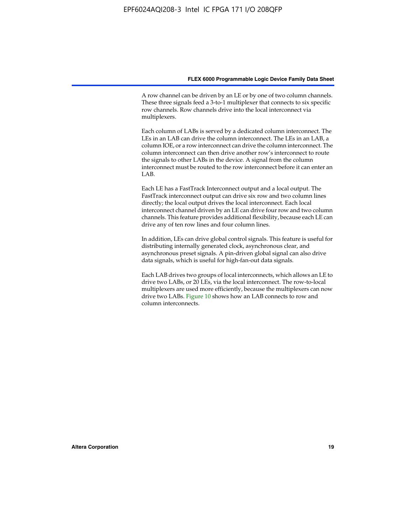A row channel can be driven by an LE or by one of two column channels. These three signals feed a 3-to-1 multiplexer that connects to six specific row channels. Row channels drive into the local interconnect via multiplexers.

Each column of LABs is served by a dedicated column interconnect. The LEs in an LAB can drive the column interconnect. The LEs in an LAB, a column IOE, or a row interconnect can drive the column interconnect. The column interconnect can then drive another row's interconnect to route the signals to other LABs in the device. A signal from the column interconnect must be routed to the row interconnect before it can enter an  $LAB$ 

Each LE has a FastTrack Interconnect output and a local output. The FastTrack interconnect output can drive six row and two column lines directly; the local output drives the local interconnect. Each local interconnect channel driven by an LE can drive four row and two column channels. This feature provides additional flexibility, because each LE can drive any of ten row lines and four column lines.

In addition, LEs can drive global control signals. This feature is useful for distributing internally generated clock, asynchronous clear, and asynchronous preset signals. A pin-driven global signal can also drive data signals, which is useful for high-fan-out data signals.

Each LAB drives two groups of local interconnects, which allows an LE to drive two LABs, or 20 LEs, via the local interconnect. The row-to-local multiplexers are used more efficiently, because the multiplexers can now drive two LABs. Figure 10 shows how an LAB connects to row and column interconnects.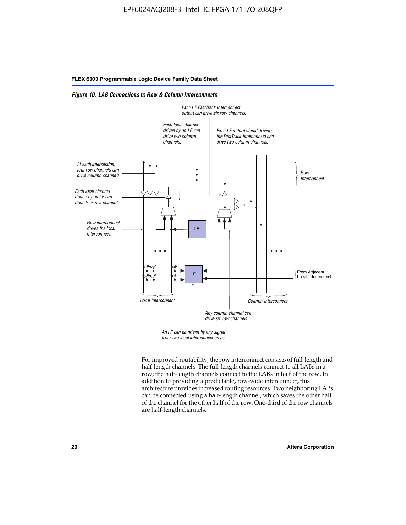*Figure 10. LAB Connections to Row & Column Interconnects*



For improved routability, the row interconnect consists of full-length and half-length channels. The full-length channels connect to all LABs in a row; the half-length channels connect to the LABs in half of the row. In addition to providing a predictable, row-wide interconnect, this architecture provides increased routing resources. Two neighboring LABs can be connected using a half-length channel, which saves the other half of the channel for the other half of the row. One-third of the row channels are half-length channels.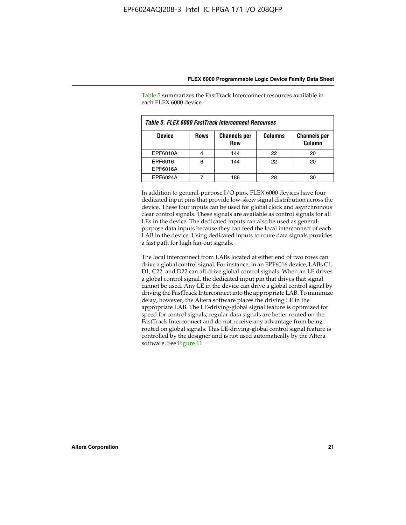| Table 5. FLEX 6000 FastTrack Interconnect Resources |             |                                   |                |                               |  |
|-----------------------------------------------------|-------------|-----------------------------------|----------------|-------------------------------|--|
| <b>Device</b>                                       | <b>Rows</b> | <b>Channels per</b><br><b>Row</b> | <b>Columns</b> | <b>Channels per</b><br>Column |  |
| EPF6010A                                            |             | 144                               | 22             | 20                            |  |
| EPF6016<br>EPF6016A                                 | 6           | 144                               | 22             | 20                            |  |
| EPF6024A                                            |             | 186                               | 28             | 30                            |  |

Table 5 summarizes the FastTrack Interconnect resources available in each FLEX 6000 device.

In addition to general-purpose I/O pins, FLEX 6000 devices have four dedicated input pins that provide low-skew signal distribution across the device. These four inputs can be used for global clock and asynchronous clear control signals. These signals are available as control signals for all LEs in the device. The dedicated inputs can also be used as generalpurpose data inputs because they can feed the local interconnect of each LAB in the device. Using dedicated inputs to route data signals provides a fast path for high fan-out signals.

The local interconnect from LABs located at either end of two rows can drive a global control signal. For instance, in an EPF6016 device, LABs C1, D1, C22, and D22 can all drive global control signals. When an LE drives a global control signal, the dedicated input pin that drives that signal cannot be used. Any LE in the device can drive a global control signal by driving the FastTrack Interconnect into the appropriate LAB. To minimize delay, however, the Altera software places the driving LE in the appropriate LAB. The LE-driving-global signal feature is optimized for speed for control signals; regular data signals are better routed on the FastTrack Interconnect and do not receive any advantage from being routed on global signals. This LE-driving-global control signal feature is controlled by the designer and is not used automatically by the Altera software. See Figure 11.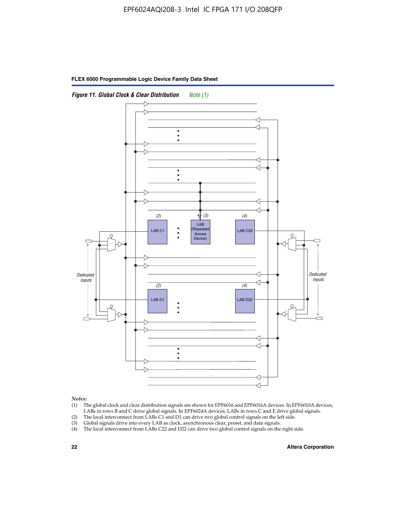



*Notes:*

- (1) The global clock and clear distribution signals are shown for EPF6016 and EPF6016A devices. In EPF6010A devices, LABs in rows B and C drive global signals. In EPF6024A devices, LABs in rows C and E drive global signals.
- (2) The local interconnect from LABs C1 and D1 can drive two global control signals on the left side.
- (3) Global signals drive into every LAB as clock, asynchronous clear, preset, and data signals.
- (4) The local interconnect from LABs C22 and D22 can drive two global control signals on the right side.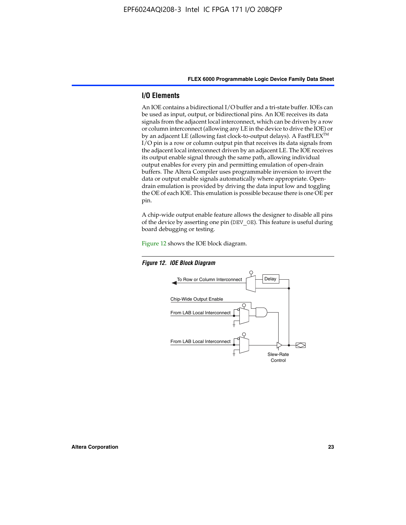#### **I/O Elements**

An IOE contains a bidirectional I/O buffer and a tri-state buffer. IOEs can be used as input, output, or bidirectional pins. An IOE receives its data signals from the adjacent local interconnect, which can be driven by a row or column interconnect (allowing any LE in the device to drive the IOE) or by an adjacent LE (allowing fast clock-to-output delays). A FastFLEX<sup>™</sup> I/O pin is a row or column output pin that receives its data signals from the adjacent local interconnect driven by an adjacent LE. The IOE receives its output enable signal through the same path, allowing individual output enables for every pin and permitting emulation of open-drain buffers. The Altera Compiler uses programmable inversion to invert the data or output enable signals automatically where appropriate. Opendrain emulation is provided by driving the data input low and toggling the OE of each IOE. This emulation is possible because there is one OE per pin.

A chip-wide output enable feature allows the designer to disable all pins of the device by asserting one pin (DEV\_OE). This feature is useful during board debugging or testing.

Figure 12 shows the IOE block diagram.



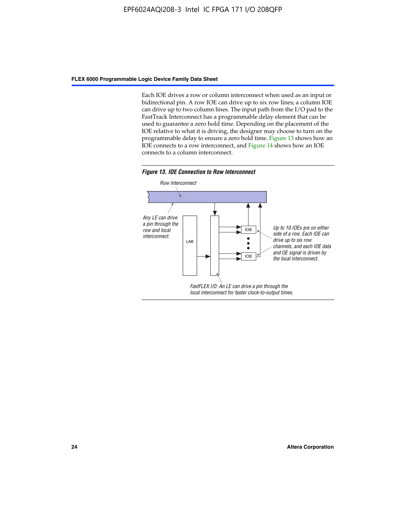Each IOE drives a row or column interconnect when used as an input or bidirectional pin. A row IOE can drive up to six row lines; a column IOE can drive up to two column lines. The input path from the I/O pad to the FastTrack Interconnect has a programmable delay element that can be used to guarantee a zero hold time. Depending on the placement of the IOE relative to what it is driving, the designer may choose to turn on the programmable delay to ensure a zero hold time. Figure 13 shows how an IOE connects to a row interconnect, and Figure 14 shows how an IOE connects to a column interconnect.



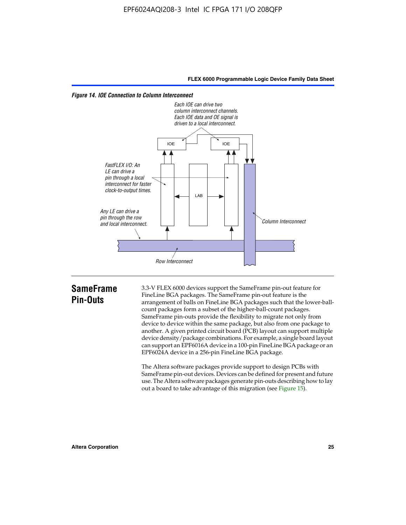



## **SameFrame Pin-Outs**

3.3-V FLEX 6000 devices support the SameFrame pin-out feature for FineLine BGA packages. The SameFrame pin-out feature is the arrangement of balls on FineLine BGA packages such that the lower-ballcount packages form a subset of the higher-ball-count packages. SameFrame pin-outs provide the flexibility to migrate not only from device to device within the same package, but also from one package to another. A given printed circuit board (PCB) layout can support multiple device density/package combinations. For example, a single board layout can support an EPF6016A device in a 100-pin FineLine BGA package or an EPF6024A device in a 256-pin FineLine BGA package.

The Altera software packages provide support to design PCBs with SameFrame pin-out devices. Devices can be defined for present and future use. The Altera software packages generate pin-outs describing how to lay out a board to take advantage of this migration (see Figure 15).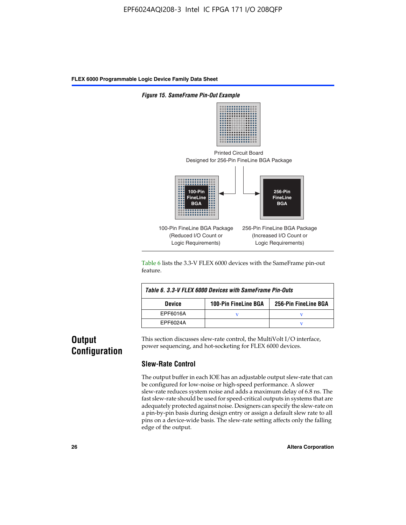

Table 6 lists the 3.3-V FLEX 6000 devices with the SameFrame pin-out feature.

| Table 6, 3.3-V FLEX 6000 Devices with SameFrame Pin-Outs |                             |                      |  |  |  |
|----------------------------------------------------------|-----------------------------|----------------------|--|--|--|
| <b>Device</b>                                            | <b>100-Pin FineLine BGA</b> | 256-Pin FineLine BGA |  |  |  |
| EPF6016A                                                 |                             |                      |  |  |  |
| EPF6024A                                                 |                             |                      |  |  |  |

## **Output Configuration**

This section discusses slew-rate control, the MultiVolt I/O interface, power sequencing, and hot-socketing for FLEX 6000 devices.

#### **Slew-Rate Control**

The output buffer in each IOE has an adjustable output slew-rate that can be configured for low-noise or high-speed performance. A slower slew-rate reduces system noise and adds a maximum delay of 6.8 ns. The fast slew-rate should be used for speed-critical outputs in systems that are adequately protected against noise. Designers can specify the slew-rate on a pin-by-pin basis during design entry or assign a default slew rate to all pins on a device-wide basis. The slew-rate setting affects only the falling edge of the output.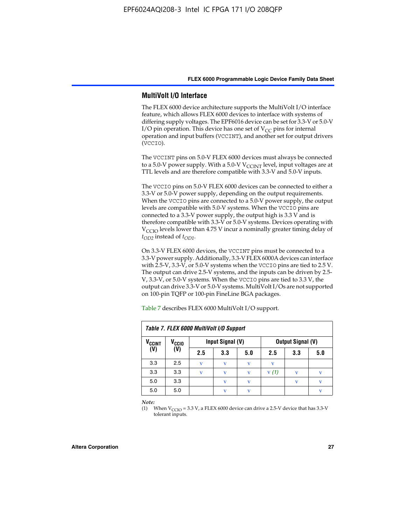#### **MultiVolt I/O Interface**

The FLEX 6000 device architecture supports the MultiVolt I/O interface feature, which allows FLEX 6000 devices to interface with systems of differing supply voltages. The EPF6016 device can be set for 3.3-V or 5.0-V I/O pin operation. This device has one set of  $V_{CC}$  pins for internal operation and input buffers (VCCINT), and another set for output drivers (VCCIO).

The VCCINT pins on 5.0-V FLEX 6000 devices must always be connected to a 5.0-V power supply. With a 5.0-V  $V_{\text{CCINT}}$  level, input voltages are at TTL levels and are therefore compatible with 3.3-V and 5.0-V inputs.

The VCCIO pins on 5.0-V FLEX 6000 devices can be connected to either a 3.3-V or 5.0-V power supply, depending on the output requirements. When the VCCIO pins are connected to a 5.0-V power supply, the output levels are compatible with 5.0-V systems. When the VCCIO pins are connected to a 3.3-V power supply, the output high is 3.3 V and is therefore compatible with 3.3-V or 5.0-V systems. Devices operating with V<sub>CCIO</sub> levels lower than 4.75 V incur a nominally greater timing delay of *tOD2* instead of *tOD1*.

On 3.3-V FLEX 6000 devices, the VCCINT pins must be connected to a 3.3-V power supply. Additionally, 3.3-V FLEX 6000A devices can interface with 2.5-V, 3.3-V, or 5.0-V systems when the VCCIO pins are tied to 2.5 V. The output can drive 2.5-V systems, and the inputs can be driven by 2.5- V, 3.3-V, or 5.0-V systems. When the VCCIO pins are tied to 3.3 V, the output can drive 3.3-V or 5.0-V systems. MultiVolt I/Os are not supported on 100-pin TQFP or 100-pin FineLine BGA packages.

| Table 7. FLEX 6000 MultiVolt I/O Support |                   |             |                  |              |                   |              |     |
|------------------------------------------|-------------------|-------------|------------------|--------------|-------------------|--------------|-----|
| <b>V<sub>CCINT</sub></b>                 | V <sub>CCIO</sub> |             | Input Signal (V) |              | Output Signal (V) |              |     |
| (V)                                      | (V)               | 2.5         | 3.3              | 5.0          | 2.5               | 3.3          | 5.0 |
| 3.3                                      | 2.5               | $\mathbf v$ | v                | $\mathbf{V}$ | v                 |              |     |
| 3.3                                      | 3.3               | v           | v                | v            | V(1)              | $\mathbf{v}$ | v   |
| 5.0                                      | 3.3               |             | $\mathbf v$      | $\mathbf{V}$ |                   | v            | v   |
| 5.0                                      | 5.0               |             | v                | v            |                   |              | v   |

Table 7 describes FLEX 6000 MultiVolt I/O support.

*Note:*

(1) When  $V_{\text{CCIO}} = 3.3 \text{ V}$ , a FLEX 6000 device can drive a 2.5-V device that has 3.3-V tolerant inputs.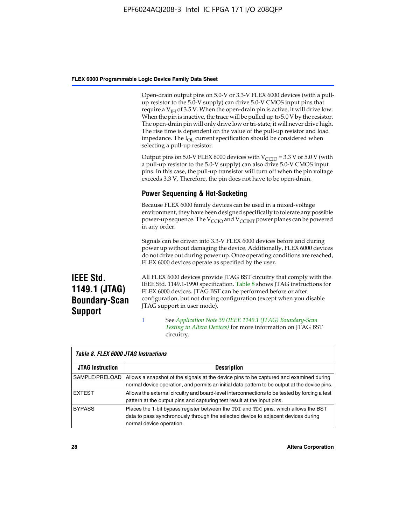Open-drain output pins on 5.0-V or 3.3-V FLEX 6000 devices (with a pullup resistor to the 5.0-V supply) can drive 5.0-V CMOS input pins that require a  $V_{IH}$  of 3.5 V. When the open-drain pin is active, it will drive low. When the pin is inactive, the trace will be pulled up to 5.0 V by the resistor. The open-drain pin will only drive low or tri-state; it will never drive high. The rise time is dependent on the value of the pull-up resistor and load impedance. The I<sub>OL</sub> current specification should be considered when selecting a pull-up resistor.

Output pins on 5.0-V FLEX 6000 devices with  $V_{\text{CCIO}} = 3.3$  V or 5.0 V (with a pull-up resistor to the 5.0-V supply) can also drive 5.0-V CMOS input pins. In this case, the pull-up transistor will turn off when the pin voltage exceeds 3.3 V. Therefore, the pin does not have to be open-drain.

#### **Power Sequencing & Hot-Socketing**

Because FLEX 6000 family devices can be used in a mixed-voltage environment, they have been designed specifically to tolerate any possible power-up sequence. The  $V_{\text{CCIO}}$  and  $V_{\text{CCINT}}$  power planes can be powered in any order.

Signals can be driven into 3.3-V FLEX 6000 devices before and during power up without damaging the device. Additionally, FLEX 6000 devices do not drive out during power up. Once operating conditions are reached, FLEX 6000 devices operate as specified by the user.

**IEEE Std. 1149.1 (JTAG) Boundary-Scan Support**

All FLEX 6000 devices provide JTAG BST circuitry that comply with the IEEE Std. 1149.1-1990 specification. Table 8 shows JTAG instructions for FLEX 6000 devices. JTAG BST can be performed before or after configuration, but not during configuration (except when you disable JTAG support in user mode).

1 See *[A](http://www.altera.com/literature/an/an039.pdf)pplication Note 39 (IEEE 1149.1 (JTAG) Boundary-Scan Testing in Altera Devices)* for more information on JTAG BST circuitry.

| Table 8. FLEX 6000 JTAG Instructions |                                                                                                                                                                                                      |  |  |  |  |
|--------------------------------------|------------------------------------------------------------------------------------------------------------------------------------------------------------------------------------------------------|--|--|--|--|
| <b>JTAG Instruction</b>              | <b>Description</b>                                                                                                                                                                                   |  |  |  |  |
| SAMPLE/PRELOAD                       | Allows a snapshot of the signals at the device pins to be captured and examined during<br>normal device operation, and permits an initial data pattern to be output at the device pins.              |  |  |  |  |
| <b>EXTEST</b>                        | Allows the external circuitry and board-level interconnections to be tested by forcing a test<br>pattern at the output pins and capturing test result at the input pins.                             |  |  |  |  |
| <b>BYPASS</b>                        | Places the 1-bit bypass register between the TDI and TDO pins, which allows the BST<br>data to pass synchronously through the selected device to adjacent devices during<br>normal device operation. |  |  |  |  |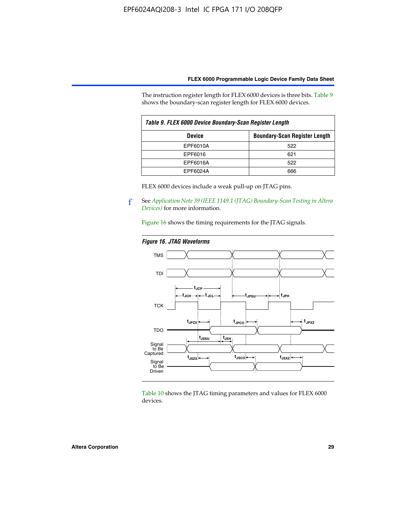The instruction register length for FLEX 6000 devices is three bits. Table 9 shows the boundary-scan register length for FLEX 6000 devices.

| Table 9. FLEX 6000 Device Boundary-Scan Register Length |                                      |  |  |  |
|---------------------------------------------------------|--------------------------------------|--|--|--|
| <b>Device</b>                                           | <b>Boundary-Scan Register Length</b> |  |  |  |
| EPF6010A                                                | 522                                  |  |  |  |
| EPF6016                                                 | 621                                  |  |  |  |
| EPF6016A                                                | 522                                  |  |  |  |
| EPF6024A                                                | 666                                  |  |  |  |

FLEX 6000 devices include a weak pull-up on JTAG pins.

f See *[Application Note 39 \(IEEE 1149.1 \(JTAG\) Boundary-Scan Testing in Altera](http://www.altera.com/literature/an/an039.pdf)  [Devices\)](http://www.altera.com/literature/an/an039.pdf)* for more information.

Figure 16 shows the timing requirements for the JTAG signals.

#### *Figure 16. JTAG Waveforms*



Table 10 shows the JTAG timing parameters and values for FLEX 6000 devices.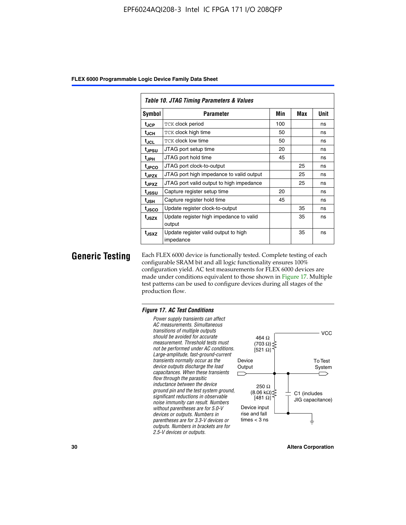|                   | Table 10. JTAG Timing Parameters & Values         |     |     |             |  |  |  |  |
|-------------------|---------------------------------------------------|-----|-----|-------------|--|--|--|--|
| Symbol            | Parameter                                         | Min | Max | <b>Unit</b> |  |  |  |  |
| t <sub>JCP</sub>  | TCK clock period                                  | 100 |     | ns          |  |  |  |  |
| t <sub>JCH</sub>  | TCK clock high time                               |     |     | ns          |  |  |  |  |
| t <sub>JCL</sub>  | <b>TCK clock low time</b>                         | 50  |     | ns          |  |  |  |  |
| t <sub>JPSU</sub> | JTAG port setup time                              | 20  |     | ns          |  |  |  |  |
| $t_{\rm JPH}$     | JTAG port hold time                               | 45  |     | ns          |  |  |  |  |
| <sup>t</sup> JPCO | JTAG port clock-to-output                         |     | 25  | ns          |  |  |  |  |
| t <sub>JPZX</sub> | JTAG port high impedance to valid output          |     | 25  | ns          |  |  |  |  |
| t <sub>JPXZ</sub> | JTAG port valid output to high impedance          |     | 25  | ns          |  |  |  |  |
| tussu             | Capture register setup time                       | 20  |     | ns          |  |  |  |  |
| $t_{\sf JSH}$     | Capture register hold time                        | 45  |     | ns          |  |  |  |  |
| tjsco             | Update register clock-to-output                   |     | 35  | ns          |  |  |  |  |
| t <sub>JSZX</sub> | Update register high impedance to valid<br>output |     | 35  | ns          |  |  |  |  |
| t <sub>JSXZ</sub> | Update register valid output to high<br>impedance |     | 35  | ns          |  |  |  |  |

**Generic Testing** Each FLEX 6000 device is functionally tested. Complete testing of each configurable SRAM bit and all logic functionality ensures 100% configuration yield. AC test measurements for FLEX 6000 devices are made under conditions equivalent to those shown in Figure 17. Multiple test patterns can be used to configure devices during all stages of the production flow.

#### *Figure 17. AC Test Conditions*

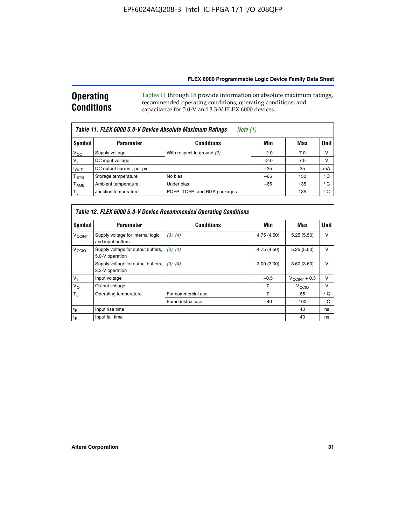#### **Operating Conditions** Tables 11 through 18 provide information on absolute maximum ratings, recommended operating conditions, operating conditions, and capacitance for 5.0-V and 3.3-V FLEX 6000 devices.

| Table 11. FLEX 6000 5.0-V Device Absolute Maximum Ratings<br>Note (1) |                            |                              |        |     |              |  |  |
|-----------------------------------------------------------------------|----------------------------|------------------------------|--------|-----|--------------|--|--|
| Symbol                                                                | <b>Parameter</b>           | <b>Conditions</b>            | Min    | Max | <b>Unit</b>  |  |  |
| $V_{CC}$                                                              | Supply voltage             | With respect to ground (2)   | $-2.0$ | 7.0 | V            |  |  |
| $V_1$                                                                 | DC input voltage           |                              | $-2.0$ | 7.0 | ν            |  |  |
| $I_{OUT}$                                                             | DC output current, per pin |                              | $-25$  | 25  | mA           |  |  |
| $T_{\rm STG}$                                                         | Storage temperature        | No bias                      | $-65$  | 150 | ° C          |  |  |
| $T_{\mathsf{AMB}}$                                                    | Ambient temperature        | Under bias                   | $-65$  | 135 | $^{\circ}$ C |  |  |
| $T_{\rm J}$                                                           | Junction temperature       | PQFP, TQFP, and BGA packages |        | 135 | ° C          |  |  |

| Table 12. FLEX 6000 5.0-V Device Recommended Operating Conditions |                                                        |                    |             |                          |              |  |  |
|-------------------------------------------------------------------|--------------------------------------------------------|--------------------|-------------|--------------------------|--------------|--|--|
| Symbol                                                            | <b>Parameter</b>                                       | <b>Conditions</b>  | Min         | Max                      | Unit         |  |  |
| <b>V<sub>CCINT</sub></b>                                          | Supply voltage for internal logic<br>and input buffers | (3), (4)           | 4.75 (4.50) | 5.25(5.50)               | v            |  |  |
| V <sub>CCIO</sub>                                                 | Supply voltage for output buffers,<br>5.0-V operation  | (3), (4)           | 4.75 (4.50) | 5.25(5.50)               | v            |  |  |
|                                                                   | Supply voltage for output buffers,<br>3.3-V operation  | (3), (4)           | 3.00(3.00)  | 3.60(3.60)               | v            |  |  |
| $V_{1}$                                                           | Input voltage                                          |                    | $-0.5$      | $V_{\text{CCINT}} + 0.5$ | v            |  |  |
| $V_{\rm O}$                                                       | Output voltage                                         |                    | $\Omega$    | $V_{\text{CCIO}}$        | v            |  |  |
| $T_{\rm J}$                                                       | Operating temperature                                  | For commercial use | 0           | 85                       | $^{\circ}$ C |  |  |
|                                                                   |                                                        | For industrial use | $-40$       | 100                      | $^{\circ}$ C |  |  |
| $t_{R}$                                                           | Input rise time                                        |                    |             | 40                       | ns           |  |  |
| t <sub>F</sub>                                                    | Input fall time                                        |                    |             | 40                       | ns           |  |  |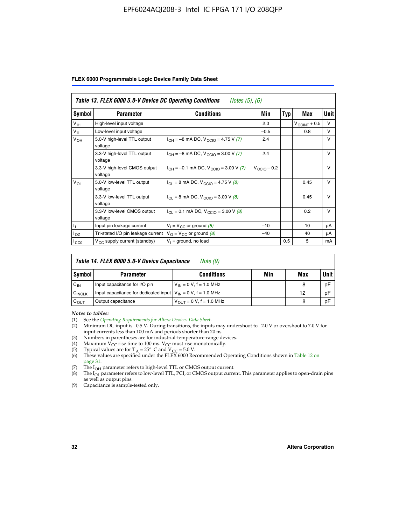#### EPF6024AQI208-3 Intel IC FPGA 171 I/O 208QFP

| FLEX 6000 Programmable Logic Device Family Data Sheet |  |  |
|-------------------------------------------------------|--|--|
|-------------------------------------------------------|--|--|

| Table 13. FLEX 6000 5.0-V Device DC Operating Conditions<br><i>Notes</i> $(5)$ , $(6)$ |                                         |                                                                           |                  |     |                          |              |  |
|----------------------------------------------------------------------------------------|-----------------------------------------|---------------------------------------------------------------------------|------------------|-----|--------------------------|--------------|--|
| Symbol                                                                                 | <b>Parameter</b>                        | Conditions                                                                | <b>Min</b>       | Typ | Max                      | Unit         |  |
| V <sub>IH</sub>                                                                        | High-level input voltage                |                                                                           | 2.0              |     | $V_{\text{CCINT}} + 0.5$ | $\vee$       |  |
| $V_{IL}$                                                                               | Low-level input voltage                 |                                                                           | $-0.5$           |     | 0.8                      | $\vee$       |  |
| $V_{OH}$                                                                               | 5.0-V high-level TTL output<br>voltage  | $I_{OH} = -8$ mA DC, $V_{CCIO} = 4.75$ V (7)                              | 2.4              |     |                          | $\vee$       |  |
|                                                                                        | 3.3-V high-level TTL output<br>voltage  | $I_{OH} = -8$ mA DC, $V_{CCIO} = 3.00$ V (7)                              | 2.4              |     |                          | $\vee$       |  |
|                                                                                        | 3.3-V high-level CMOS output<br>voltage | $I_{OH} = -0.1$ mA DC, $V_{CClO} = 3.00$ V (7)                            | $V_{CClO}$ – 0.2 |     |                          | $\mathsf{V}$ |  |
| $V_{OL}$                                                                               | 5.0-V low-level TTL output<br>voltage   | $I_{\text{OI}}$ = 8 mA DC, V <sub>CCIO</sub> = 4.75 V (8)                 |                  |     | 0.45                     | $\vee$       |  |
|                                                                                        | 3.3-V low-level TTL output<br>voltage   | $I_{OL}$ = 8 mA DC, V <sub>CCIO</sub> = 3.00 V (8)                        |                  |     | 0.45                     | $\mathsf{V}$ |  |
|                                                                                        | 3.3-V low-level CMOS output<br>voltage  | $I_{\text{OI}} = 0.1 \text{ mA DC}, V_{\text{CCIO}} = 3.00 \text{ V} (8)$ |                  |     | 0.2                      | $\vee$       |  |
|                                                                                        | Input pin leakage current               | $V_1 = V_{CC}$ or ground (8)                                              | $-10$            |     | 10                       | μA           |  |
| l <sub>OZ</sub>                                                                        | Tri-stated I/O pin leakage current      | $V_{\Omega}$ = $V_{\text{CC}}$ or ground (8)                              | $-40$            |     | 40                       | μA           |  |
| ICCO                                                                                   | $V_{CC}$ supply current (standby)       | $V_1$ = ground, no load                                                   |                  | 0.5 | 5                        | mA           |  |

| Table 14. FLEX 6000 5.0-V Device Capacitance<br>Note (9) |                                                                    |                               |     |     |             |  |  |
|----------------------------------------------------------|--------------------------------------------------------------------|-------------------------------|-----|-----|-------------|--|--|
| Symbol                                                   | <b>Parameter</b>                                                   | <b>Conditions</b>             | Min | Max | <b>Unit</b> |  |  |
| $C_{IN}$                                                 | Input capacitance for I/O pin                                      | $V_{1N} = 0 V$ , f = 1.0 MHz  |     | 8   | pF          |  |  |
| C <sub>INCLK</sub>                                       | Input capacitance for dedicated input $V_{IN} = 0 V$ , f = 1.0 MHz |                               |     | 12  | pF          |  |  |
| $C_{OUT}$                                                | Output capacitance                                                 | $V_{OUT} = 0 V$ , f = 1.0 MHz |     | 8   | pF          |  |  |

*Notes to tables:*

- (3) Numbers in parentheses are for industrial-temperature-range devices.
- (4) Maximum  $V_{CC}$  rise time to 100 ms.  $V_{CC}$  must rise monotonically.
- 
- (5) Typical values are for T<sub>A</sub> = 25° C and V<sub>CC</sub> = 5.0 V.<br>(6) These values are specified under the FLEX 6000 Recommended Operating Conditions shown in Table 12 on page 31.
- (7) The  $I<sub>OH</sub>$  parameter refers to high-level TTL or CMOS output current.
- (8) The  $I_{OL}$  parameter refers to low-level TTL, PCI, or CMOS output current. This parameter applies to open-drain pins as well as output pins.
- (9) Capacitance is sample-tested only.

<sup>(1)</sup> See the *[Operating Requirements for Altera Devices Data Sheet](http://www.altera.com/literature/ds/dsoprq.pdf)*.

Minimum DC input is –0.5 V. During transitions, the inputs may undershoot to –2.0 V or overshoot to 7.0 V for input currents less than 100 mA and periods shorter than 20 ns.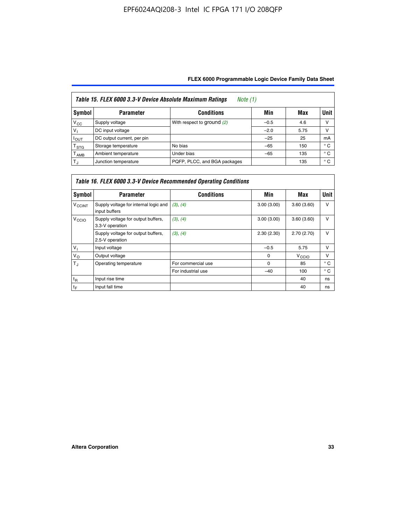| Table 15. FLEX 6000 3.3-V Device Absolute Maximum Ratings<br><i>Note</i> $(1)$ |                            |                              |        |      |              |  |  |
|--------------------------------------------------------------------------------|----------------------------|------------------------------|--------|------|--------------|--|--|
| Symbol                                                                         | <b>Parameter</b>           | <b>Conditions</b>            | Min    | Max  | Unit         |  |  |
| $V_{\rm CC}$                                                                   | Supply voltage             | With respect to ground (2)   | $-0.5$ | 4.6  | ν            |  |  |
| $V_1$                                                                          | DC input voltage           |                              | $-2.0$ | 5.75 | ν            |  |  |
| $I_{\text{OUT}}$                                                               | DC output current, per pin |                              | $-25$  | 25   | mA           |  |  |
| T <sub>STG</sub>                                                               | Storage temperature        | No bias                      | $-65$  | 150  | $^{\circ}$ C |  |  |
| Т <sub>АМВ</sub>                                                               | Ambient temperature        | Under bias                   | $-65$  | 135  | $^{\circ}$ C |  |  |
| $T_{\rm J}$                                                                    | Junction temperature       | PQFP, PLCC, and BGA packages |        | 135  | $^{\circ}$ C |  |  |

| Table 16. FLEX 6000 3.3-V Device Recommended Operating Conditions |                                                        |                    |            |                   |              |  |  |
|-------------------------------------------------------------------|--------------------------------------------------------|--------------------|------------|-------------------|--------------|--|--|
| Symbol                                                            | <b>Parameter</b>                                       | <b>Conditions</b>  | Min        | Max               | <b>Unit</b>  |  |  |
| <b>V<sub>CCINT</sub></b>                                          | Supply voltage for internal logic and<br>input buffers | (3), (4)           | 3.00(3.00) | 3.60(3.60)        | $\vee$       |  |  |
| V <sub>CCIO</sub>                                                 | Supply voltage for output buffers,<br>3.3-V operation  | (3), (4)           | 3.00(3.00) | 3.60(3.60)        | v            |  |  |
|                                                                   | Supply voltage for output buffers,<br>2.5-V operation  | (3), (4)           | 2.30(2.30) | 2.70(2.70)        | $\vee$       |  |  |
| $V_{\parallel}$                                                   | Input voltage                                          |                    | $-0.5$     | 5.75              | $\vee$       |  |  |
| $V_{\rm O}$                                                       | Output voltage                                         |                    | 0          | V <sub>CCIO</sub> | $\vee$       |  |  |
| $T_{\rm J}$                                                       | Operating temperature                                  | For commercial use | $\Omega$   | 85                | $^{\circ}$ C |  |  |
|                                                                   |                                                        | For industrial use | $-40$      | 100               | $^{\circ}$ C |  |  |
| $t_{R}$                                                           | Input rise time                                        |                    |            | 40                | ns           |  |  |
| $t_F$                                                             | Input fall time                                        |                    |            | 40                | ns           |  |  |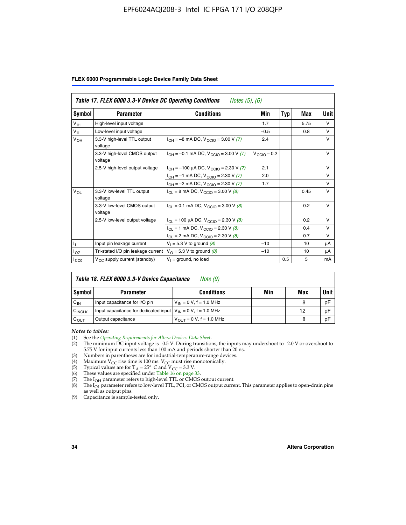#### EPF6024AQI208-3 Intel IC FPGA 171 I/O 208QFP

|  |  |  | FLEX 6000 Programmable Logic Device Family Data Sheet |  |  |  |
|--|--|--|-------------------------------------------------------|--|--|--|
|--|--|--|-------------------------------------------------------|--|--|--|

|                 | Table 17. FLEX 6000 3.3-V Device DC Operating Conditions<br><i>Notes</i> $(5)$ , $(6)$ |                                                           |                  |     |      |              |  |
|-----------------|----------------------------------------------------------------------------------------|-----------------------------------------------------------|------------------|-----|------|--------------|--|
| Symbol          | <b>Parameter</b>                                                                       | <b>Conditions</b>                                         | Min              | Typ | Max  | Unit         |  |
| $V_{\text{IH}}$ | High-level input voltage                                                               |                                                           | 1.7              |     | 5.75 | $\vee$       |  |
| $V_{IL}$        | Low-level input voltage                                                                |                                                           | $-0.5$           |     | 0.8  | $\vee$       |  |
| $V_{OH}$        | 3.3-V high-level TTL output<br>voltage                                                 | $I_{OH} = -8$ mA DC, $V_{CGIO} = 3.00$ V (7)              | 2.4              |     |      | $\vee$       |  |
|                 | 3.3-V high-level CMOS output<br>voltage                                                | $I_{OH} = -0.1$ mA DC, $V_{CGIO} = 3.00$ V (7)            | $V_{CClO}$ – 0.2 |     |      | $\vee$       |  |
|                 | 2.5-V high-level output voltage                                                        | $I_{OH}$ = -100 µA DC, $V_{CCIO}$ = 2.30 V (7)            | 2.1              |     |      | $\mathsf{V}$ |  |
|                 |                                                                                        | $I_{OH} = -1$ mA DC, $V_{CCIO} = 2.30 V (7)$              | 2.0              |     |      | $\vee$       |  |
|                 |                                                                                        | $I_{OH} = -2$ mA DC, $V_{CGIO} = 2.30$ V (7)              | 1.7              |     |      | $\mathsf{V}$ |  |
| $V_{OL}$        | 3.3-V low-level TTL output<br>voltage                                                  | $I_{\text{OI}}$ = 8 mA DC, V <sub>CCIO</sub> = 3.00 V (8) |                  |     | 0.45 | $\mathsf{V}$ |  |
|                 | 3.3-V low-level CMOS output<br>voltage                                                 | $I_{OL} = 0.1$ mA DC, $V_{CCIO} = 3.00$ V (8)             |                  |     | 0.2  | $\vee$       |  |
|                 | 2.5-V low-level output voltage                                                         | $I_{OL}$ = 100 µA DC, $V_{CCIO}$ = 2.30 V (8)             |                  |     | 0.2  | $\vee$       |  |
|                 |                                                                                        | $I_{OL}$ = 1 mA DC, $V_{CCIO}$ = 2.30 V (8)               |                  |     | 0.4  | v            |  |
|                 |                                                                                        | $I_{OL}$ = 2 mA DC, $V_{CCIO}$ = 2.30 V (8)               |                  |     | 0.7  | v            |  |
| Η.              | Input pin leakage current                                                              | $V_1 = 5.3 V$ to ground (8)                               | $-10$            |     | 10   | μA           |  |
| $I_{OZ}$        | Tri-stated I/O pin leakage current                                                     | $V_{\Omega}$ = 5.3 V to ground (8)                        | $-10$            |     | 10   | μA           |  |
| $I_{CC0}$       | $V_{CC}$ supply current (standby)                                                      | $V_1$ = ground, no load                                   |                  | 0.5 | 5    | mA           |  |

| Table 18. FLEX 6000 3.3-V Device Capacitance<br>Note (9) |                                                                    |                                |     |     |             |  |  |
|----------------------------------------------------------|--------------------------------------------------------------------|--------------------------------|-----|-----|-------------|--|--|
| Symbol                                                   | <b>Parameter</b>                                                   | <b>Conditions</b>              | Min | Max | <b>Unit</b> |  |  |
| $C_{IN}$                                                 | Input capacitance for I/O pin                                      | $V_{IN} = 0 V$ , f = 1.0 MHz   |     | 8   | pF          |  |  |
| C <sub>INCLK</sub>                                       | Input capacitance for dedicated input $V_{IN} = 0 V$ , f = 1.0 MHz |                                |     | 12  | pF          |  |  |
| $C_{OUT}$                                                | Output capacitance                                                 | $V_{OIII} = 0 V$ , f = 1.0 MHz |     | 8   | pF          |  |  |

*Notes to tables:*

- (3) Numbers in parentheses are for industrial-temperature-range devices.
- (4) Maximum V<sub>CC</sub> rise time is 100 ms. V<sub>CC</sub> must rise monotonically.
- 
- (5) Typical values are for  $T_A = 25^\circ$  C and  $V_{CC} = 3.3$  V.<br>(6) These values are specified under Table 16 on page 33.
- (7) The  $I_{OH}$  parameter refers to high-level TTL or CMOS output current.
- (8) The  $I_{OL}$  parameter refers to low-level TTL, PCI, or CMOS output current. This parameter applies to open-drain pins as well as output pins.

(9) Capacitance is sample-tested only.

<sup>(1)</sup> See the *[Operating Requirements for Altera Devices Data Sheet](http://www.altera.com/literature/ds/dsoprq.pdf)*.

<sup>(2)</sup> The minimum DC input voltage is –0.5 V. During transitions, the inputs may undershoot to –2.0 V or overshoot to 5.75 V for input currents less than 100 mA and periods shorter than 20 ns.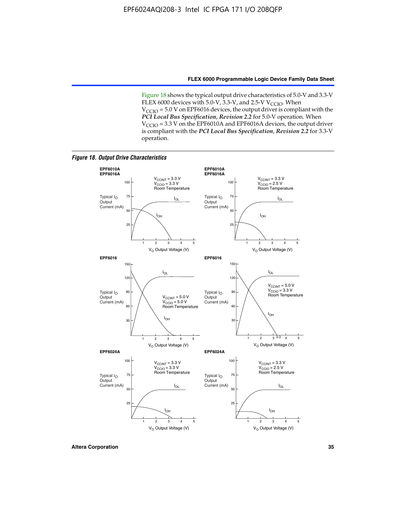Figure 18 shows the typical output drive characteristics of 5.0-V and 3.3-V FLEX 6000 devices with 5.0-V,  $3.3$ -V, and 2.5-V V<sub>CCIO</sub>. When  $V_{\text{CCIO}}$  = 5.0 V on EPF6016 devices, the output driver is compliant with the *PCI Local Bus Specification*, *Revision 2.2* for 5.0-V operation. When  $V_{\text{CCIO}} = 3.3$  V on the EPF6010A and EPF6016A devices, the output driver is compliant with the *PCI Local Bus Specification*, *Revision 2.2* for 3.3-V operation.

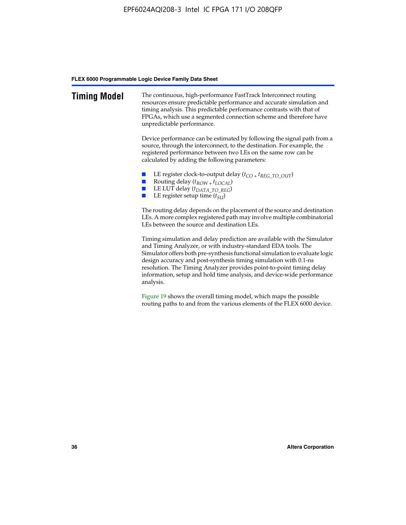| <b>Timing Model</b> | The continuous, high-performance FastTrack Interconnect routing<br>resources ensure predictable performance and accurate simulation and<br>timing analysis. This predictable performance contrasts with that of<br>FPGAs, which use a segmented connection scheme and therefore have<br>unpredictable performance.                                                                                                                                         |
|---------------------|------------------------------------------------------------------------------------------------------------------------------------------------------------------------------------------------------------------------------------------------------------------------------------------------------------------------------------------------------------------------------------------------------------------------------------------------------------|
|                     | Device performance can be estimated by following the signal path from a<br>source, through the interconnect, to the destination. For example, the<br>registered performance between two LEs on the same row can be<br>calculated by adding the following parameters:                                                                                                                                                                                       |
|                     | LE register clock-to-output delay $(t_{CO} + t_{REG\_TO\_OUT})$<br>Routing delay $(t_{ROW} + t_{LOCAL})$<br>$\mathcal{L}$<br>LE LUT delay (t <sub>DATA_TO_REG</sub> )<br>LE register setup time $(t_{SI})$                                                                                                                                                                                                                                                 |
|                     | The routing delay depends on the placement of the source and destination<br>LEs. A more complex registered path may involve multiple combinatorial<br>LEs between the source and destination LEs.                                                                                                                                                                                                                                                          |
|                     | Timing simulation and delay prediction are available with the Simulator<br>and Timing Analyzer, or with industry-standard EDA tools. The<br>Simulator offers both pre-synthesis functional simulation to evaluate logic<br>design accuracy and post-synthesis timing simulation with 0.1-ns<br>resolution. The Timing Analyzer provides point-to-point timing delay<br>information, setup and hold time analysis, and device-wide performance<br>analysis. |
|                     | Figure 19 shows the overall timing model, which maps the possible                                                                                                                                                                                                                                                                                                                                                                                          |

routing paths to and from the various elements of the FLEX 6000 device.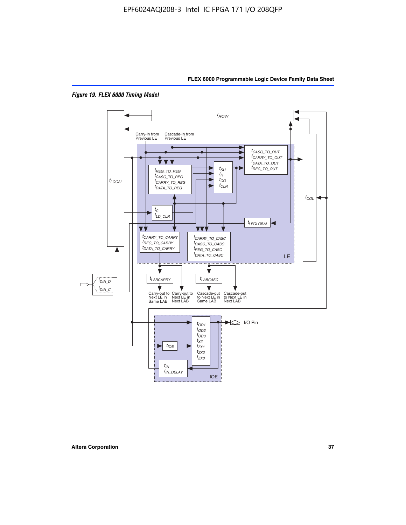



*Figure 19. FLEX 6000 Timing Model*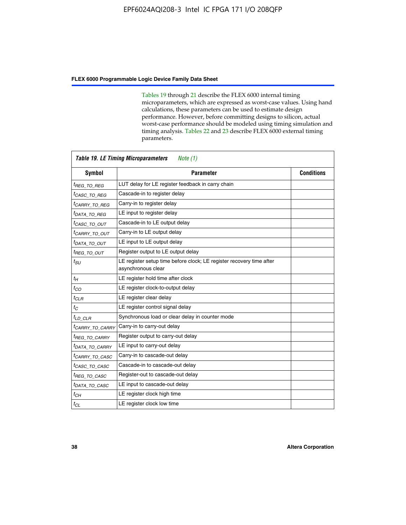Tables 19 through 21 describe the FLEX 6000 internal timing microparameters, which are expressed as worst-case values. Using hand calculations, these parameters can be used to estimate design performance. However, before committing designs to silicon, actual worst-case performance should be modeled using timing simulation and timing analysis. Tables 22 and 23 describe FLEX 6000 external timing parameters.

| <b>Table 19. LE Timing Microparameters</b><br>Note (1) |                                                                                            |                   |  |  |  |  |
|--------------------------------------------------------|--------------------------------------------------------------------------------------------|-------------------|--|--|--|--|
| <b>Symbol</b>                                          | <b>Parameter</b>                                                                           | <b>Conditions</b> |  |  |  |  |
| <sup>t</sup> REG TO REG                                | LUT delay for LE register feedback in carry chain                                          |                   |  |  |  |  |
| <sup>t</sup> CASC TO REG                               | Cascade-in to register delay                                                               |                   |  |  |  |  |
| <sup>t</sup> CARRY TO REG                              | Carry-in to register delay                                                                 |                   |  |  |  |  |
| <sup>t</sup> DATA_TO_REG                               | LE input to register delay                                                                 |                   |  |  |  |  |
| <sup>t</sup> CASC_TO_OUT                               | Cascade-in to LE output delay                                                              |                   |  |  |  |  |
| <sup>t</sup> CARRY TO OUT                              | Carry-in to LE output delay                                                                |                   |  |  |  |  |
| <sup>t</sup> data to out                               | LE input to LE output delay                                                                |                   |  |  |  |  |
| <sup>t</sup> REG TO OUT                                | Register output to LE output delay                                                         |                   |  |  |  |  |
| $t_{\scriptstyle SU}$                                  | LE register setup time before clock; LE register recovery time after<br>asynchronous clear |                   |  |  |  |  |
| $t_H$                                                  | LE register hold time after clock                                                          |                   |  |  |  |  |
| $t_{CO}$                                               | LE register clock-to-output delay                                                          |                   |  |  |  |  |
| $t_{CLR}$                                              | LE register clear delay                                                                    |                   |  |  |  |  |
| $t_C$                                                  | LE register control signal delay                                                           |                   |  |  |  |  |
| $t_{LD\_CLR}$                                          | Synchronous load or clear delay in counter mode                                            |                   |  |  |  |  |
| <sup>t</sup> CARRY TO CARRY                            | Carry-in to carry-out delay                                                                |                   |  |  |  |  |
| <sup>t</sup> REG TO CARRY                              | Register output to carry-out delay                                                         |                   |  |  |  |  |
| <sup>t</sup> DATA TO CARRY                             | LE input to carry-out delay                                                                |                   |  |  |  |  |
| <sup>t</sup> CARRY TO CASC                             | Carry-in to cascade-out delay                                                              |                   |  |  |  |  |
| <sup>t</sup> CASC_TO_CASC                              | Cascade-in to cascade-out delay                                                            |                   |  |  |  |  |
| <sup>t</sup> REG TO CASC                               | Register-out to cascade-out delay                                                          |                   |  |  |  |  |
| <sup>I</sup> DATA TO CASC                              | LE input to cascade-out delay                                                              |                   |  |  |  |  |
| $t_{CH}$                                               | LE register clock high time                                                                |                   |  |  |  |  |
| $t_{CL}$                                               | LE register clock low time                                                                 |                   |  |  |  |  |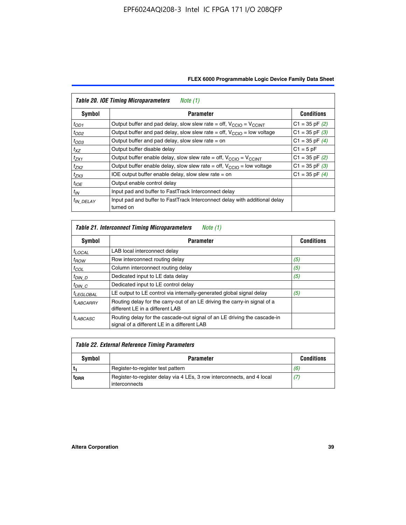| FLEX 6000 Programmable Logic Device Family Data Sheet |  |  |  |
|-------------------------------------------------------|--|--|--|
|-------------------------------------------------------|--|--|--|

| <b>Table 20. IOE Timing Microparameters</b><br>Note (1) |                                                                                         |                    |  |  |  |  |  |
|---------------------------------------------------------|-----------------------------------------------------------------------------------------|--------------------|--|--|--|--|--|
| Symbol                                                  | <b>Parameter</b>                                                                        | <b>Conditions</b>  |  |  |  |  |  |
| $t_{OD1}$                                               | Output buffer and pad delay, slow slew rate = off, $V_{\text{CCIO}} = V_{\text{CCINT}}$ | $C1 = 35$ pF $(2)$ |  |  |  |  |  |
| $t_{OD2}$                                               | Output buffer and pad delay, slow slew rate = off, $V_{CClO}$ = low voltage             | $C1 = 35$ pF $(3)$ |  |  |  |  |  |
| $t_{OD3}$                                               | Output buffer and pad delay, slow slew rate $=$ on                                      | $C1 = 35$ pF $(4)$ |  |  |  |  |  |
| $t_{XZ}$                                                | Output buffer disable delay                                                             | $C1 = 5pF$         |  |  |  |  |  |
| $t_{ZX1}$                                               | Output buffer enable delay, slow slew rate = off, $V_{\text{CCIO}} = V_{\text{CCINT}}$  | $C1 = 35$ pF $(2)$ |  |  |  |  |  |
| $t_{ZX2}$                                               | Output buffer enable delay, slow slew rate = off, $V_{\text{CCIO}}$ = low voltage       | $C1 = 35$ pF $(3)$ |  |  |  |  |  |
| $t_{ZX3}$                                               | IOE output buffer enable delay, slow slew rate $=$ on                                   | $C1 = 35$ pF $(4)$ |  |  |  |  |  |
| $t_{IOE}$                                               | Output enable control delay                                                             |                    |  |  |  |  |  |
| $t_{IN}$                                                | Input pad and buffer to FastTrack Interconnect delay                                    |                    |  |  |  |  |  |
| <sup>t</sup> IN DELAY                                   | Input pad and buffer to FastTrack Interconnect delay with additional delay<br>turned on |                    |  |  |  |  |  |

| <b>Table 21. Interconnect Timing Microparameters</b><br>Note (1) |                                                                                                                         |                   |  |  |  |  |
|------------------------------------------------------------------|-------------------------------------------------------------------------------------------------------------------------|-------------------|--|--|--|--|
| Symbol                                                           | <b>Parameter</b>                                                                                                        | <b>Conditions</b> |  |  |  |  |
| $t_{LOCAL}$                                                      | LAB local interconnect delay                                                                                            |                   |  |  |  |  |
| $t_{ROW}$                                                        | Row interconnect routing delay                                                                                          | (5)               |  |  |  |  |
| $t_{COL}$                                                        | Column interconnect routing delay                                                                                       | (5)               |  |  |  |  |
| <sup>t</sup> DIN D                                               | Dedicated input to LE data delay                                                                                        | (5)               |  |  |  |  |
| $t_{DIN}$ $C$                                                    | Dedicated input to LE control delay                                                                                     |                   |  |  |  |  |
| <sup>t</sup> LEGLOBAL                                            | LE output to LE control via internally-generated global signal delay                                                    | (5)               |  |  |  |  |
| $t_{LABCAARY}$                                                   | Routing delay for the carry-out of an LE driving the carry-in signal of a<br>different LE in a different LAB            |                   |  |  |  |  |
| <sup>t</sup> LABCASC                                             | Routing delay for the cascade-out signal of an LE driving the cascade-in<br>signal of a different LE in a different LAB |                   |  |  |  |  |

| Table 22. External Reference Timing Parameters |                                                                                         |                   |  |  |  |
|------------------------------------------------|-----------------------------------------------------------------------------------------|-------------------|--|--|--|
| Symbol                                         | <b>Parameter</b>                                                                        | <b>Conditions</b> |  |  |  |
|                                                | Register-to-register test pattern                                                       | (6)               |  |  |  |
| t <sub>DRR</sub>                               | Register-to-register delay via 4 LEs, 3 row interconnects, and 4 local<br>interconnects | (7)               |  |  |  |

 $\mathbf{r}$ 

 $\overline{\phantom{0}}$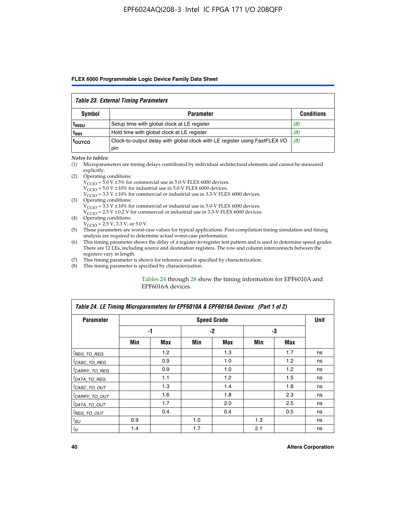#### *Table 23. External Timing Parameters*

|                   | <b>Symbol</b><br><b>Parameter</b>                                                  |                   |  |  |  |  |  |
|-------------------|------------------------------------------------------------------------------------|-------------------|--|--|--|--|--|
|                   |                                                                                    | <b>Conditions</b> |  |  |  |  |  |
| <sup>I</sup> INSU | Setup time with global clock at LE register                                        | (8)               |  |  |  |  |  |
| ւ <sub>INH</sub>  | Hold time with global clock at LE register                                         | (8)               |  |  |  |  |  |
| toutco            | Clock-to-output delay with global clock with LE register using FastFLEX I/O<br>pin | (8)               |  |  |  |  |  |

#### *Notes to tables:*

- (1) Microparameters are timing delays contributed by individual architectural elements and cannot be measured explicitly.
- (2) Operating conditions:  $V_{\text{CCIO}} = 5.0 \text{ V} \pm 5\%$  for commercial use in 5.0-V FLEX 6000 devices.  $V_{\text{CCIO}} = 5.0 \text{ V} \pm 10\%$  for industrial use in 5.0-V FLEX 6000 devices.  $V<sub>CCO</sub> = 3.3 V ± 10%$  for commercial or industrial use in 3.3-V FLEX 6000 devices. (3) Operating conditions:
	- $V_{\text{CCIO}} = 3.3 \text{ V} \pm 10\%$  for commercial or industrial use in 5.0-V FLEX 6000 devices.
		- $V_{\text{CCIO}}$  = 2.5 V ± 0.2 V for commercial or industrial use in 3.3-V FLEX 6000 devices.
- (4) Operating conditions:  $V_{\text{CCIO}} = 2.5 \text{ V}$ , 3.3 V, or 5.0 V.
- (5) These parameters are worst-case values for typical applications. Post-compilation timing simulation and timing analysis are required to determine actual worst-case performance.
- (6) This timing parameter shows the delay of a register-to-register test pattern and is used to determine speed grades. There are 12 LEs, including source and destination registers. The row and column interconnects between the registers vary in length.
- (7) This timing parameter is shown for reference and is specified by characterization.
- (8) This timing parameter is specified by characterization.

#### Tables 24 through 28 show the timing information for EPF6010A and EPF6016A devices.

| Table 24. LE Timing Microparameters for EPF6010A & EPF6016A Devices (Part 1 of 2) |     |     |     |                    |     |     |             |  |
|-----------------------------------------------------------------------------------|-----|-----|-----|--------------------|-----|-----|-------------|--|
| <b>Parameter</b>                                                                  |     |     |     | <b>Speed Grade</b> |     |     | <b>Unit</b> |  |
|                                                                                   |     | -1  |     | $-2$               |     | -3  |             |  |
|                                                                                   | Min | Max | Min | Max                | Min | Max |             |  |
| <sup>[</sup> REG_TO_REG                                                           |     | 1.2 |     | 1.3                |     | 1.7 | ns          |  |
| <sup>I</sup> CASC_TO_REG                                                          |     | 0.9 |     | 1.0                |     | 1.2 | ns          |  |
| <sup>I</sup> CARRY_TO_REG                                                         |     | 0.9 |     | 1.0                |     | 1.2 | ns          |  |
| <sup>I</sup> DATA_TO_REG                                                          |     | 1.1 |     | 1.2                |     | 1.5 | ns          |  |
| <sup>I</sup> CASC_TO_OUT                                                          |     | 1.3 |     | 1.4                |     | 1.8 | ns          |  |
| <sup>I</sup> CARRY_TO_OUT                                                         |     | 1.6 |     | 1.8                |     | 2.3 | ns          |  |
| <sup>I</sup> DATA_TO_OUT                                                          |     | 1.7 |     | 2.0                |     | 2.5 | ns          |  |
| <sup>I</sup> REG_TO_OUT                                                           |     | 0.4 |     | 0.4                |     | 0.5 | ns          |  |
| $t_{SU}$                                                                          | 0.9 |     | 1.0 |                    | 1.3 |     | ns          |  |
| $t_H$                                                                             | 1.4 |     | 1.7 |                    | 2.1 |     | ns          |  |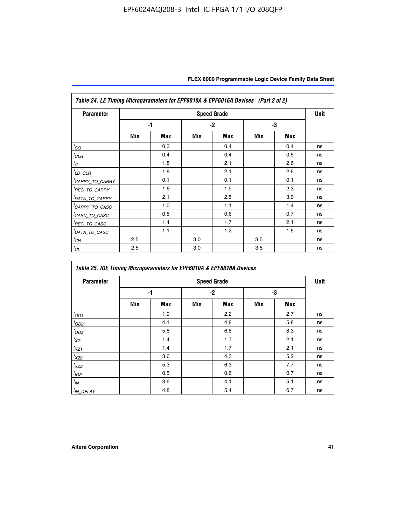| Table 24. LE Timing Microparameters for EPF6010A & EPF6016A Devices (Part 2 of 2) |     |            |     |                    |     |     |             |  |
|-----------------------------------------------------------------------------------|-----|------------|-----|--------------------|-----|-----|-------------|--|
| <b>Parameter</b>                                                                  |     |            |     | <b>Speed Grade</b> |     |     | <b>Unit</b> |  |
|                                                                                   |     | $-1$       |     | $-2$               | -3  |     |             |  |
|                                                                                   | Min | <b>Max</b> | Min | Max                | Min | Max |             |  |
| $t_{CO}$                                                                          |     | 0.3        |     | 0.4                |     | 0.4 | ns          |  |
| ${}^{l}$ CLR                                                                      |     | 0.4        |     | 0.4                |     | 0.5 | ns          |  |
| $t_C$                                                                             |     | 1.8        |     | 2.1                |     | 2.6 | ns          |  |
| ${}^{l}$ LD_CLR                                                                   |     | 1.8        |     | 2.1                |     | 2.6 | ns          |  |
| <sup>I</sup> CARRY_TO_CARRY                                                       |     | 0.1        |     | 0.1                |     | 0.1 | ns          |  |
| <sup>I</sup> REG_TO_CARRY                                                         |     | 1.6        |     | 1.9                |     | 2.3 | ns          |  |
| <sup>I</sup> DATA_TO_CARRY                                                        |     | 2.1        |     | 2.5                |     | 3.0 | ns          |  |
| <sup>I</sup> CARRY_TO_CASC                                                        |     | 1.0        |     | 1.1                |     | 1.4 | ns          |  |
| <sup>I</sup> CASC_TO_CASC                                                         |     | 0.5        |     | 0.6                |     | 0.7 | ns          |  |
| <sup>I</sup> REG_TO_CASC                                                          |     | 1.4        |     | 1.7                |     | 2.1 | ns          |  |
| <sup>I</sup> DATA_TO_CASC                                                         |     | 1.1        |     | 1.2                |     | 1.5 | ns          |  |
| $t_{CH}$                                                                          | 2.5 |            | 3.0 |                    | 3.5 |     | ns          |  |
| $t_{CL}$                                                                          | 2.5 |            | 3.0 |                    | 3.5 |     | ns          |  |

| Table 25. IOE Timing Microparameters for EPF6010A & EPF6016A Devices |     |            |      |                    |     |            |      |  |
|----------------------------------------------------------------------|-----|------------|------|--------------------|-----|------------|------|--|
| <b>Parameter</b>                                                     |     |            |      | <b>Speed Grade</b> |     |            | Unit |  |
|                                                                      |     | -1         | $-2$ |                    | -3  |            |      |  |
|                                                                      | Min | <b>Max</b> | Min  | <b>Max</b>         | Min | <b>Max</b> |      |  |
| $t_{OD1}$                                                            |     | 1.9        |      | 2.2                |     | 2.7        | ns   |  |
| $t_{OD2}$                                                            |     | 4.1        |      | 4.8                |     | 5.8        | ns   |  |
| $t_{OD3}$                                                            |     | 5.8        |      | 6.8                |     | 8.3        | ns   |  |
| $t_{\text{XZ}}$                                                      |     | 1.4        |      | 1.7                |     | 2.1        | ns   |  |
| $t_{XZ1}$                                                            |     | 1.4        |      | 1.7                |     | 2.1        | ns   |  |
| $t_{XZ2}$                                                            |     | 3.6        |      | 4.3                |     | 5.2        | ns   |  |
| $t_{XZ3}$                                                            |     | 5.3        |      | 6.3                |     | 7.7        | ns   |  |
| $t_{IOE}$                                                            |     | 0.5        |      | 0.6                |     | 0.7        | ns   |  |
| $t_{IN}$                                                             |     | 3.6        |      | 4.1                |     | 5.1        | ns   |  |
| $t_{IN\_DELAY}$                                                      |     | 4.8        |      | 5.4                |     | 6.7        | ns   |  |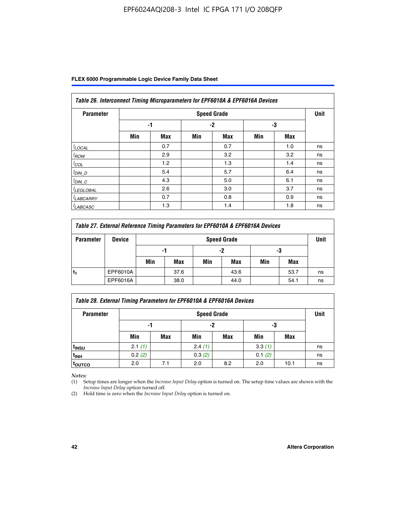| Table 26. Interconnect Timing Microparameters for EPF6010A & EPF6016A Devices |     |            |     |                    |     |     |             |  |
|-------------------------------------------------------------------------------|-----|------------|-----|--------------------|-----|-----|-------------|--|
| <b>Parameter</b>                                                              |     |            |     | <b>Speed Grade</b> |     |     | <b>Unit</b> |  |
|                                                                               |     | -1         |     | $-2$               |     | -3  |             |  |
|                                                                               | Min | <b>Max</b> | Min | <b>Max</b>         | Min | Max |             |  |
| $t$ LOCAL                                                                     |     | 0.7        |     | 0.7                |     | 1.0 | ns          |  |
| $t_{\text{ROW}}$                                                              |     | 2.9        |     | 3.2                |     | 3.2 | ns          |  |
| $t_{COL}$                                                                     |     | 1.2        |     | 1.3                |     | 1.4 | ns          |  |
| <u><sup>t</sup>DIN_D</u>                                                      |     | 5.4        |     | 5.7                |     | 6.4 | ns          |  |
| $t_{DIN\_C}$                                                                  |     | 4.3        |     | 5.0                |     | 6.1 | ns          |  |
| <sup>I</sup> LEGLOBAL                                                         |     | 2.6        |     | 3.0                |     | 3.7 | ns          |  |
| <sup>I</sup> LABCARRY                                                         |     | 0.7        |     | 0.8                |     | 0.9 | ns          |  |
| <sup>I</sup> LABCASC                                                          |     | 1.3        |     | 1.4                |     | 1.8 | ns          |  |

| Table 27. External Reference Timing Parameters for EPF6010A & EPF6016A Devices |               |     |                    |     |      |     |      |    |  |  |
|--------------------------------------------------------------------------------|---------------|-----|--------------------|-----|------|-----|------|----|--|--|
| <b>Parameter</b>                                                               | <b>Device</b> |     | <b>Speed Grade</b> |     |      |     |      |    |  |  |
|                                                                                |               | -1  |                    | -2  |      | -3  |      |    |  |  |
|                                                                                |               | Min | Max                | Min | Max  | Min | Max  |    |  |  |
|                                                                                | EPF6010A      |     | 37.6               |     | 43.6 |     | 53.7 | ns |  |  |
|                                                                                | EPF6016A      |     | 38.0               |     | 44.0 |     | 54.1 | ns |  |  |

| Table 28. External Timing Parameters for EPF6010A & EPF6016A Devices |        |                    |        |     |        |      |    |  |  |
|----------------------------------------------------------------------|--------|--------------------|--------|-----|--------|------|----|--|--|
| <b>Parameter</b>                                                     |        | <b>Speed Grade</b> |        |     |        |      |    |  |  |
|                                                                      | -1     |                    |        | -2  |        | -3   |    |  |  |
|                                                                      | Min    | Max                | Min    | Max | Min    | Max  |    |  |  |
| t <sub>insu</sub>                                                    | 2.1(1) |                    | 2.4(1) |     | 3.3(1) |      | ns |  |  |
| <sup>t</sup> inh                                                     | 0.2(2) |                    | 0.3(2) |     | 0.1(2) |      | ns |  |  |
| toutco                                                               | 2.0    | 7.1                | 2.0    | 8.2 | 2.0    | 10.1 | ns |  |  |

*Notes:*

(1) Setup times are longer when the *Increase Input Delay* option is turned on. The setup time values are shown with the *Increase Input Delay* option turned off.

(2) Hold time is zero when the *Increase Input Delay* option is turned on.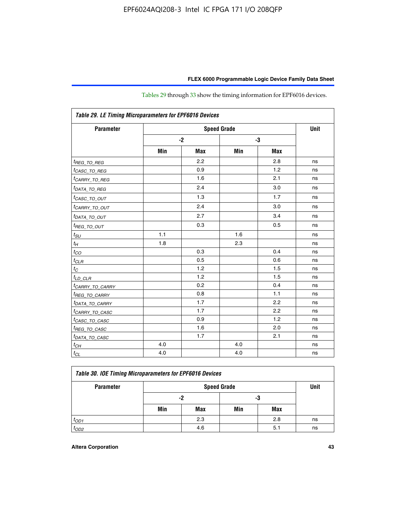| Table 29. LE Timing Microparameters for EPF6016 Devices |     |            |     |            |    |  |  |  |
|---------------------------------------------------------|-----|------------|-----|------------|----|--|--|--|
| <b>Parameter</b>                                        |     | Unit       |     |            |    |  |  |  |
|                                                         |     | $-2$       |     | -3         |    |  |  |  |
|                                                         | Min | <b>Max</b> | Min | <b>Max</b> |    |  |  |  |
| <sup>t</sup> REG_ <u>TO_REG</u>                         |     | 2.2        |     | 2.8        | ns |  |  |  |
| <sup>t</sup> CASC_TO_REG                                |     | 0.9        |     | 1.2        | ns |  |  |  |
| <sup>I</sup> CARRY_TO_REG                               |     | 1.6        |     | 2.1        | ns |  |  |  |
| <sup>t</sup> DATA_TO_REG                                |     | 2.4        |     | 3.0        | ns |  |  |  |
| <sup>t</sup> CASC_TO_OUT                                |     | 1.3        |     | 1.7        | ns |  |  |  |
| <sup>t</sup> CARRY_TO_OUT                               |     | 2.4        |     | 3.0        | ns |  |  |  |
| <sup>t</sup> DATA_TO_OUT                                |     | 2.7        |     | 3.4        | ns |  |  |  |
| <i>t<sub>REG_TO_OUT</sub></i>                           |     | 0.3        |     | 0.5        | ns |  |  |  |
| $t_{SU}$                                                | 1.1 |            | 1.6 |            | ns |  |  |  |
| $t_H$                                                   | 1.8 |            | 2.3 |            | ns |  |  |  |
| $t_{CO}$                                                |     | 0.3        |     | 0.4        | ns |  |  |  |
| $t_{CLR}$                                               |     | 0.5        |     | 0.6        | ns |  |  |  |
| $t_C$                                                   |     | 1.2        |     | 1.5        | ns |  |  |  |
| $t_{LD\_CLR}$                                           |     | 1.2        |     | 1.5        | ns |  |  |  |
| <sup>t</sup> CARRY_TO_CARRY                             |     | 0.2        |     | 0.4        | ns |  |  |  |
| <sup>t</sup> REG_TO_CARRY                               |     | 0.8        |     | 1.1        | ns |  |  |  |
| <sup>t</sup> DATA_TO_CARRY                              |     | 1.7        |     | 2.2        | ns |  |  |  |
| <sup>t</sup> CARRY_TO_CASC                              |     | 1.7        |     | 2.2        | ns |  |  |  |
| <sup>t</sup> CASC_TO_CASC                               |     | 0.9        |     | 1.2        | ns |  |  |  |
| <sup>t</sup> REG_TO_CASC                                |     | 1.6        |     | 2.0        | ns |  |  |  |
| <sup>t</sup> DATA_TO_CASC                               |     | 1.7        |     | 2.1        | ns |  |  |  |
| $t_{CH}$                                                | 4.0 |            | 4.0 |            | ns |  |  |  |
| $t_{CL}$                                                | 4.0 |            | 4.0 |            | ns |  |  |  |

Tables 29 through 33 show the timing information for EPF6016 devices.

| Table 30. IOE Timing Microparameters for EPF6016 Devices |     |                    |     |     |    |  |  |  |  |
|----------------------------------------------------------|-----|--------------------|-----|-----|----|--|--|--|--|
| <b>Parameter</b>                                         |     | <b>Speed Grade</b> |     |     |    |  |  |  |  |
|                                                          |     | -2                 | -3  |     |    |  |  |  |  |
|                                                          | Min | Max                | Min | Max |    |  |  |  |  |
| $t_{OD1}$                                                |     | 2.3                |     | 2.8 | ns |  |  |  |  |
| $t_{OD2}$                                                |     | 4.6                |     | 5.1 | ns |  |  |  |  |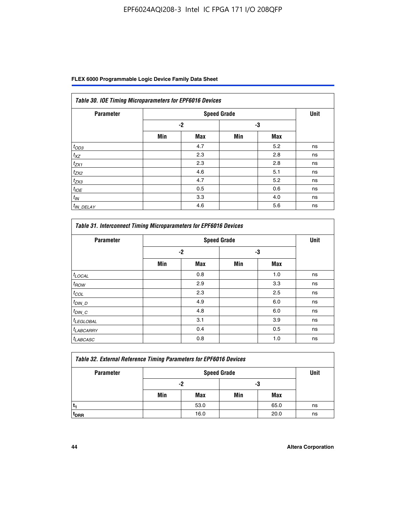| Table 30. IOE Timing Microparameters for EPF6016 Devices |      |                    |     |            |             |  |  |  |  |  |
|----------------------------------------------------------|------|--------------------|-----|------------|-------------|--|--|--|--|--|
| <b>Parameter</b>                                         |      | <b>Speed Grade</b> |     |            | <b>Unit</b> |  |  |  |  |  |
|                                                          | $-2$ |                    | -3  |            |             |  |  |  |  |  |
|                                                          | Min  | <b>Max</b>         | Min | <b>Max</b> |             |  |  |  |  |  |
| $t_{OD3}$                                                |      | 4.7                |     | 5.2        | ns          |  |  |  |  |  |
| $t_{XZ}$                                                 |      | 2.3                |     | 2.8        | ns          |  |  |  |  |  |
| $t_{ZX1}$                                                |      | 2.3                |     | 2.8        | ns          |  |  |  |  |  |
| $t_{ZX2}$                                                |      | 4.6                |     | 5.1        | ns          |  |  |  |  |  |
| $t_{ZX3}$                                                |      | 4.7                |     | 5.2        | ns          |  |  |  |  |  |
| $t_{IOE}$                                                |      | 0.5                |     | 0.6        | ns          |  |  |  |  |  |
| $t_{IN}$                                                 |      | 3.3                |     | 4.0        | ns          |  |  |  |  |  |
| $t_{IN}$ DELAY                                           |      | 4.6                |     | 5.6        | ns          |  |  |  |  |  |

| <b>Parameter</b>      |      | <b>Speed Grade</b> |     |            | <b>Unit</b> |
|-----------------------|------|--------------------|-----|------------|-------------|
|                       | $-2$ |                    |     | -3         |             |
|                       | Min  | <b>Max</b>         | Min | <b>Max</b> |             |
| $t_{LOCAL}$           |      | 0.8                |     | 1.0        | ns          |
| $t_{ROW}$             |      | 2.9                |     | 3.3        | ns          |
| $t_{COL}$             |      | 2.3                |     | 2.5        | ns          |
| $t_{DIN\_D}$          |      | 4.9                |     | 6.0        | ns          |
| $t_{DIN\_C}$          |      | 4.8                |     | 6.0        | ns          |
| <sup>t</sup> LEGLOBAL |      | 3.1                |     | 3.9        | ns          |
| <sup>t</sup> LABCARRY |      | 0.4                |     | 0.5        | ns          |
| <sup>t</sup> LABCASC  |      | 0.8                |     | 1.0        | ns          |

| Table 32. External Reference Timing Parameters for EPF6016 Devices |     |                    |     |      |    |  |  |  |  |
|--------------------------------------------------------------------|-----|--------------------|-----|------|----|--|--|--|--|
| <b>Parameter</b>                                                   |     | <b>Speed Grade</b> |     |      |    |  |  |  |  |
|                                                                    |     | -2                 | -3  |      |    |  |  |  |  |
|                                                                    | Min | Max                | Min | Max  |    |  |  |  |  |
|                                                                    |     | 53.0               |     | 65.0 | ns |  |  |  |  |
| <sup>T</sup> DRR                                                   |     | 16.0               |     | 20.0 | ns |  |  |  |  |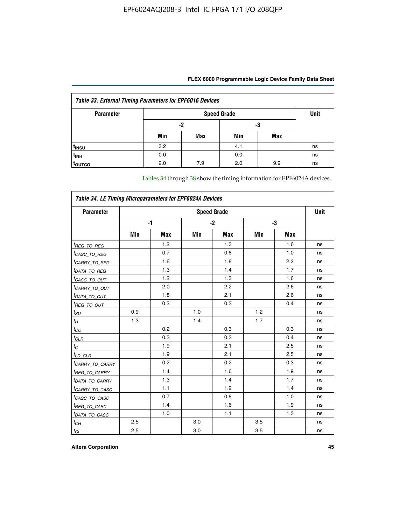| <b>Table 33. External Timing Parameters for EPF6016 Devices</b> |     |                    |     |            |    |  |  |  |  |
|-----------------------------------------------------------------|-----|--------------------|-----|------------|----|--|--|--|--|
| <b>Parameter</b>                                                |     | <b>Speed Grade</b> |     |            |    |  |  |  |  |
|                                                                 |     | -2                 |     | -3         |    |  |  |  |  |
|                                                                 | Min | Max                | Min | <b>Max</b> |    |  |  |  |  |
| t <sub>INSU</sub>                                               | 3.2 |                    | 4.1 |            | ns |  |  |  |  |
| $t_{INH}$                                                       | 0.0 |                    | 0.0 |            | ns |  |  |  |  |
| <b>TOUTCO</b>                                                   | 2.0 | 7.9                | 2.0 | 9.9        | ns |  |  |  |  |

Tables 34 through 38 show the timing information for EPF6024A devices.

| Table 34. LE Timing Microparameters for EPF6024A Devices |                    |            |     |            |     |            |    |  |
|----------------------------------------------------------|--------------------|------------|-----|------------|-----|------------|----|--|
| <b>Parameter</b>                                         | <b>Speed Grade</b> |            |     |            |     |            |    |  |
|                                                          |                    | -1         |     | $-2$       | -3  |            |    |  |
|                                                          | Min                | <b>Max</b> | Min | <b>Max</b> | Min | <b>Max</b> |    |  |
| <sup>t</sup> REG_TO_REG                                  |                    | 1.2        |     | 1.3        |     | 1.6        | ns |  |
| <sup>t</sup> CASC_TO_REG                                 |                    | 0.7        |     | 0.8        |     | 1.0        | ns |  |
| <sup>t</sup> CARRY_TO_REG                                |                    | 1.6        |     | 1.8        |     | 2.2        | ns |  |
| <sup>t</sup> DATA_TO_REG                                 |                    | 1.3        |     | 1.4        |     | 1.7        | ns |  |
| <sup>t</sup> CASC_TO_OUT                                 |                    | 1.2        |     | 1.3        |     | 1.6        | ns |  |
| <sup>t</sup> CARRY_TO_OUT                                |                    | 2.0        |     | 2.2        |     | 2.6        | ns |  |
| <sup>t</sup> DATA_TO_OUT                                 |                    | 1.8        |     | 2.1        |     | 2.6        | ns |  |
| <i>t<sub>REG_TO_OUT</sub></i>                            |                    | 0.3        |     | 0.3        |     | 0.4        | ns |  |
| $t_{SU}$                                                 | 0.9                |            | 1.0 |            | 1.2 |            | ns |  |
| $t_H$                                                    | 1.3                |            | 1.4 |            | 1.7 |            | ns |  |
| $t_{CO}$                                                 |                    | 0.2        |     | 0.3        |     | 0.3        | ns |  |
| $t_{CLR}$                                                |                    | 0.3        |     | 0.3        |     | 0.4        | ns |  |
| $t_C$                                                    |                    | 1.9        |     | 2.1        |     | 2.5        | ns |  |
| $t_{LD\_CLR}$                                            |                    | 1.9        |     | 2.1        |     | 2.5        | ns |  |
| <sup>t</sup> CAR <u>RY_TO_CARRY</u>                      |                    | 0.2        |     | 0.2        |     | 0.3        | ns |  |
| <sup>t</sup> REG_TO_CARRY                                |                    | 1.4        |     | 1.6        |     | 1.9        | ns |  |
| <sup>t</sup> DATA_TO_CARRY                               |                    | 1.3        |     | 1.4        |     | 1.7        | ns |  |
| <sup>t</sup> CARRY_TO_CASC                               |                    | 1.1        |     | 1.2        |     | 1.4        | ns |  |
| <sup>t</sup> CASC_TO_CASC                                |                    | 0.7        |     | 0.8        |     | 1.0        | ns |  |
| <sup>t</sup> REG_TO_CASC                                 |                    | 1.4        |     | 1.6        |     | 1.9        | ns |  |
| <sup>t</sup> DATA_TO_CASC                                |                    | 1.0        |     | 1.1        |     | 1.3        | ns |  |
| $t_{CH}$                                                 | 2.5                |            | 3.0 |            | 3.5 |            | ns |  |
| $t_{\text{CL}}$                                          | 2.5                |            | 3.0 |            | 3.5 |            | ns |  |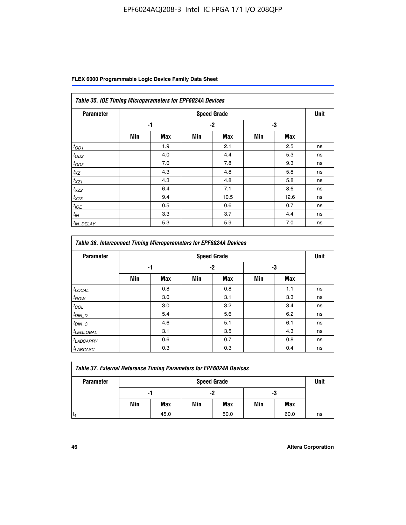| FLEX 6000 Programmable Logic Device Family Data Sheet |  |  |
|-------------------------------------------------------|--|--|
|-------------------------------------------------------|--|--|

| Table 35. IOE Timing Microparameters for EPF6024A Devices |     |            |      |                    |     |            |             |  |  |
|-----------------------------------------------------------|-----|------------|------|--------------------|-----|------------|-------------|--|--|
| <b>Parameter</b>                                          |     |            |      | <b>Speed Grade</b> |     |            | <b>Unit</b> |  |  |
|                                                           |     | -1         | $-2$ |                    | -3  |            |             |  |  |
|                                                           | Min | <b>Max</b> | Min  | <b>Max</b>         | Min | <b>Max</b> |             |  |  |
| $t_{OD1}$                                                 |     | 1.9        |      | 2.1                |     | 2.5        | ns          |  |  |
| $t_{OD2}$                                                 |     | 4.0        |      | 4.4                |     | 5.3        | ns          |  |  |
| $t_{OD3}$                                                 |     | 7.0        |      | 7.8                |     | 9.3        | ns          |  |  |
| $t_{XZ}$                                                  |     | 4.3        |      | 4.8                |     | 5.8        | ns          |  |  |
| $t_{XZ1}$                                                 |     | 4.3        |      | 4.8                |     | 5.8        | ns          |  |  |
| $t_{XZ2}$                                                 |     | 6.4        |      | 7.1                |     | 8.6        | ns          |  |  |
| $t_{XZ3}$                                                 |     | 9.4        |      | 10.5               |     | 12.6       | ns          |  |  |
| $t_{IOE}$                                                 |     | 0.5        |      | 0.6                |     | 0.7        | ns          |  |  |
| $t_{IN}$                                                  |     | 3.3        |      | 3.7                |     | 4.4        | ns          |  |  |
| <sup>t</sup> IN_DELAY                                     |     | 5.3        |      | 5.9                |     | 7.0        | ns          |  |  |

| <b>Table 36. Interconnect Timing Microparameters for EPF6024A Devices</b> |     |            |     |                    |     |            |             |  |  |  |
|---------------------------------------------------------------------------|-----|------------|-----|--------------------|-----|------------|-------------|--|--|--|
| <b>Parameter</b>                                                          |     |            |     | <b>Speed Grade</b> |     |            | <b>Unit</b> |  |  |  |
|                                                                           | -1  |            | -2  |                    | -3  |            |             |  |  |  |
|                                                                           | Min | <b>Max</b> | Min | <b>Max</b>         | Min | <b>Max</b> |             |  |  |  |
| $t_{LOCAL}$                                                               |     | 0.8        |     | 0.8                |     | 1.1        | ns          |  |  |  |
| $t_{ROW}$                                                                 |     | 3.0        |     | 3.1                |     | 3.3        | ns          |  |  |  |
| $t_{COL}$                                                                 |     | 3.0        |     | 3.2                |     | 3.4        | ns          |  |  |  |
| $t_{DIN\_D}$                                                              |     | 5.4        |     | 5.6                |     | 6.2        | ns          |  |  |  |
| $t_{DIN\_C}$                                                              |     | 4.6        |     | 5.1                |     | 6.1        | ns          |  |  |  |
| $t_{LEGLOBAL}$                                                            |     | 3.1        |     | 3.5                |     | 4.3        | ns          |  |  |  |
| $t_{LABCARAY}$                                                            |     | 0.6        |     | 0.7                |     | 0.8        | ns          |  |  |  |
| <sup>t</sup> LABCASC                                                      |     | 0.3        |     | 0.3                |     | 0.4        | ns          |  |  |  |

| <b>Table 37. External Reference Timing Parameters for EPF6024A Devices</b> |                    |      |     |      |     |      |      |
|----------------------------------------------------------------------------|--------------------|------|-----|------|-----|------|------|
| <b>Parameter</b>                                                           | <b>Speed Grade</b> |      |     |      |     |      | Unit |
|                                                                            | -1                 |      |     | -2   |     | -3   |      |
|                                                                            | Min                | Max  | Min | Max  | Min | Max  |      |
|                                                                            |                    | 45.0 |     | 50.0 |     | 60.0 | ns   |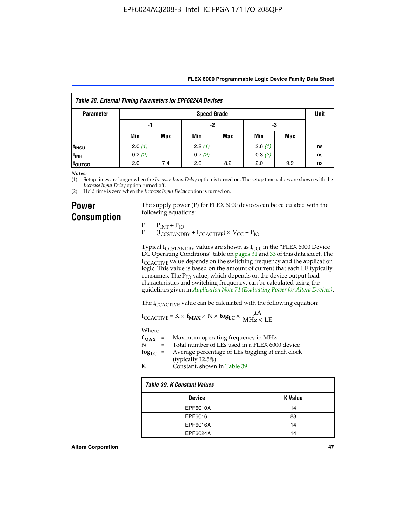|  | FLEX 6000 Programmable Logic Device Family Data Sheet |  |  |  |
|--|-------------------------------------------------------|--|--|--|
|--|-------------------------------------------------------|--|--|--|

| <b>Table 38. External Timing Parameters for EPF6024A Devices</b> |                    |            |        |     |        |     |      |
|------------------------------------------------------------------|--------------------|------------|--------|-----|--------|-----|------|
| <b>Parameter</b>                                                 | <b>Speed Grade</b> |            |        |     |        |     | Unit |
|                                                                  | -1                 |            | -2     |     | -3     |     |      |
|                                                                  | Min                | <b>Max</b> | Min    | Max | Min    | Max |      |
| <sup>t</sup> insu                                                | 2.0(1)             |            | 2.2(1) |     | 2.6(1) |     | ns   |
| t <sub>INH</sub>                                                 | 0.2(2)             |            | 0.2(2) |     | 0.3(2) |     | ns   |
| <sup>t</sup> outco                                               | 2.0                | 7.4        | 2.0    | 8.2 | 2.0    | 9.9 | ns   |

*Notes:*

(1) Setup times are longer when the *Increase Input Delay* option is turned on. The setup time values are shown with the *Increase Input Delay* option turned off.

(2) Hold time is zero when the *Increase Input Delay* option is turned on.

### **Power Consumption**

The supply power (P) for FLEX 6000 devices can be calculated with the following equations:

 $P = P_{INT} + P_{IO}$  $P = (I_{CCTANDBY} + I_{CCACTIVE}) \times V_{CC} + P_{IO}$ 

Typical  $I_{CCSTANDBY}$  values are shown as  $I_{CC0}$  in the "FLEX 6000 Device DC Operating Conditions" table on pages 31 and 33 of this data sheet. The I<sub>CCACTIVE</sub> value depends on the switching frequency and the application logic. This value is based on the amount of current that each LE typically consumes. The  $P_{IO}$  value, which depends on the device output load characteristics and switching frequency, can be calculated using the guidelines given in *[Application Note 74 \(Evaluating Power for Altera Devices\)](http://www.altera.com/literature/an/an074.pdf)*.

The I<sub>CCACTIVE</sub> value can be calculated with the following equation:

$$
I_{\text{CCACTIVE}} = K \times f_{\text{MAX}} \times N \times \text{tog}_{\text{LC}} \times \frac{\mu A}{\text{MHz} \times \text{LE}}
$$

Where:

|   | $f_{MAX}$ = Maximum operating frequency in MHz                           |
|---|--------------------------------------------------------------------------|
| N | = Total number of LEs used in a FLEX 6000 device                         |
|   | $\log_{LC}$ = Average percentage of LEs toggling at each clock<br>(1, 1) |

(typically 12.5%) K = Constant, shown in Table 39

| Table 39. K Constant Values |                |  |  |
|-----------------------------|----------------|--|--|
| <b>Device</b>               | <b>K</b> Value |  |  |
| EPF6010A                    | 14             |  |  |
| EPF6016                     | 88             |  |  |
| EPF6016A                    | 14             |  |  |
| EPF6024A                    | 14             |  |  |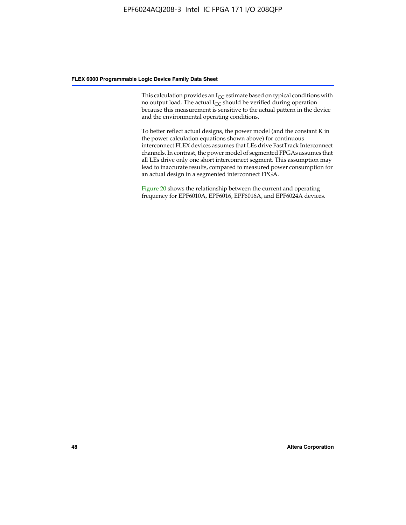This calculation provides an  $I_{CC}$  estimate based on typical conditions with no output load. The actual  $I_{CC}$  should be verified during operation because this measurement is sensitive to the actual pattern in the device and the environmental operating conditions.

To better reflect actual designs, the power model (and the constant K in the power calculation equations shown above) for continuous interconnect FLEX devices assumes that LEs drive FastTrack Interconnect channels. In contrast, the power model of segmented FPGAs assumes that all LEs drive only one short interconnect segment. This assumption may lead to inaccurate results, compared to measured power consumption for an actual design in a segmented interconnect FPGA.

Figure 20 shows the relationship between the current and operating frequency for EPF6010A, EPF6016, EPF6016A, and EPF6024A devices.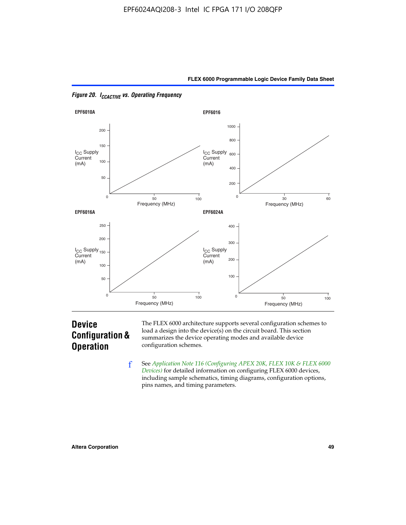



*Figure 20. ICCACTIVE vs. Operating Frequency* 

# **Device Configuration & Operation**

The FLEX 6000 architecture supports several configuration schemes to load a design into the device(s) on the circuit board. This section summarizes the device operating modes and available device configuration schemes.

f See *[Application Note 116 \(Configuring APEX 20K, FLEX 10K & FLEX 6000](http://www.altera.com/literature/an/an116.pdf)  [Devices\)](http://www.altera.com/literature/an/an116.pdf)* for detailed information on configuring FLEX 6000 devices, including sample schematics, timing diagrams, configuration options, pins names, and timing parameters.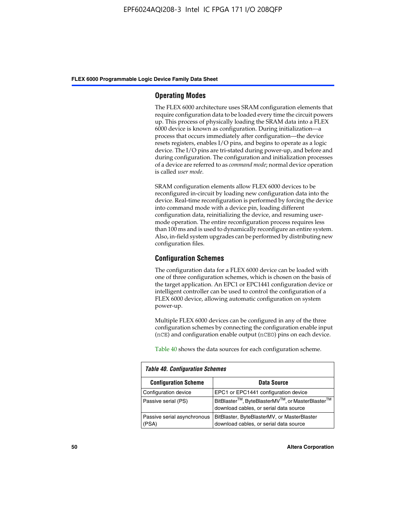#### **Operating Modes**

The FLEX 6000 architecture uses SRAM configuration elements that require configuration data to be loaded every time the circuit powers up. This process of physically loading the SRAM data into a FLEX 6000 device is known as configuration. During initialization—a process that occurs immediately after configuration—the device resets registers, enables I/O pins, and begins to operate as a logic device. The I/O pins are tri-stated during power-up, and before and during configuration. The configuration and initialization processes of a device are referred to as *command mode*; normal device operation is called *user mode*.

SRAM configuration elements allow FLEX 6000 devices to be reconfigured in-circuit by loading new configuration data into the device. Real-time reconfiguration is performed by forcing the device into command mode with a device pin, loading different configuration data, reinitializing the device, and resuming usermode operation. The entire reconfiguration process requires less than 100 ms and is used to dynamically reconfigure an entire system. Also, in-field system upgrades can be performed by distributing new configuration files.

#### **Configuration Schemes**

The configuration data for a FLEX 6000 device can be loaded with one of three configuration schemes, which is chosen on the basis of the target application. An EPC1 or EPC1441 configuration device or intelligent controller can be used to control the configuration of a FLEX 6000 device, allowing automatic configuration on system power-up.

Multiple FLEX 6000 devices can be configured in any of the three configuration schemes by connecting the configuration enable input (nCE) and configuration enable output (nCEO) pins on each device.

Table 40 shows the data sources for each configuration scheme.

| <b>Table 40. Configuration Schemes</b> |                                                                                                                                |  |  |  |
|----------------------------------------|--------------------------------------------------------------------------------------------------------------------------------|--|--|--|
| <b>Configuration Scheme</b>            | <b>Data Source</b>                                                                                                             |  |  |  |
| Configuration device                   | EPC1 or EPC1441 configuration device                                                                                           |  |  |  |
| Passive serial (PS)                    | BitBlaster <sup>™</sup> , ByteBlasterMV <sup>™</sup> , or MasterBlaster <sup>™</sup><br>download cables, or serial data source |  |  |  |
| Passive serial asynchronous<br>(PSA)   | BitBlaster, ByteBlasterMV, or MasterBlaster<br>download cables, or serial data source                                          |  |  |  |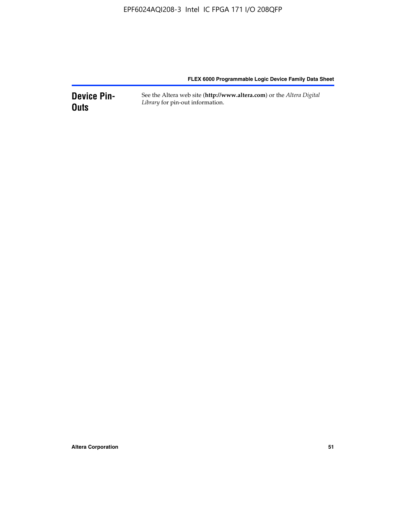**Device Pin-Outs** See the Altera web site (**http://www.altera.com**) or the *Altera Digital Library* for pin-out information.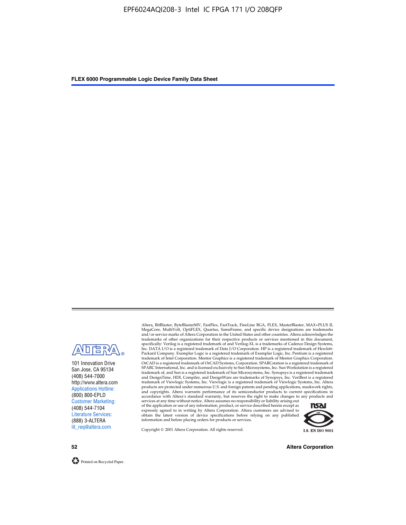

101 Innovation Drive San Jose, CA 95134 (408) 544-7000 http://www.altera.com Applications Hotline: (800) 800-EPLD Customer Marketing: (408) 544-7104 Literature Services: (888) 3-ALTERA lit\_req@altera.com

Altera, BitBlaster, ByteBlasterMV, FastFlex, FastTrack, FineLine BGA, FLEX, MasterBlaster, MAX+PLUS II, MegaCore, MultiVolt, OptiFLEX, Quartus, SameFrame, and specific device designations are trademarks and/or service marks of Altera Corporation in the United States and other countries. Altera acknowledges the trademarks of other organizations for their respective products or services mentioned in this document, specifically: Verilog is a registered trademark of and Verilog-XL is a trademarks of Cadence Design Systems,<br>Inc. DATA I/O is a registered trademark of Data I/O Corporation. HP is a registered trademark of Hewlett-<br>Packard trademark of Intel Corporation. Mentor Graphics is a registered trademark of Mentor Graphics Corporation. OrCAD is a registered trademark of OrCAD Systems, Corporation. SPARCstation is a registered trademark of SPARC International, Inc. and is licensed exclusively to Sun Microsystems, Inc. Sun Workstation is a registered trademark of, and Sun is a registered trademark of Sun Microsystems, Inc. Synopsys is a registered trademark and DesignTime, HDL Compiler, and DesignWare are trademarks of Synopsys, Inc. VeriBest is a registered<br>trademark of Viewlogic Systems, Inc. Viewlogic is a registered trademark of Viewlogic Systems, Inc. Altera<br>products are

of the application or use of any information, product, or service described herein except as<br>expressly agreed to in writing by Altera Corporation. Altera customers are advised to<br>obtain the latest version of device specifi



Copyright © 2001 Altera Corporation. All rights reserved.

**52 Altera Corporation**

Printed on Recycled Paper.